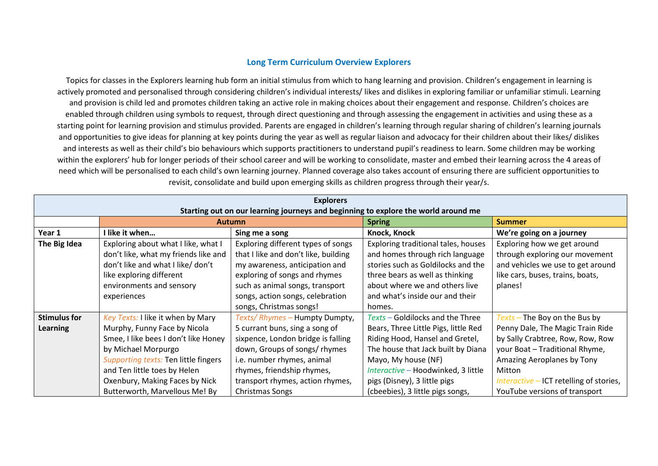## **Long Term Curriculum Overview Explorers**

Topics for classes in the Explorers learning hub form an initial stimulus from which to hang learning and provision. Children's engagement in learning is actively promoted and personalised through considering children's individual interests/ likes and dislikes in exploring familiar or unfamiliar stimuli. Learning and provision is child led and promotes children taking an active role in making choices about their engagement and response. Children's choices are enabled through children using symbols to request, through direct questioning and through assessing the engagement in activities and using these as a starting point for learning provision and stimulus provided. Parents are engaged in children's learning through regular sharing of children's learning journals and opportunities to give ideas for planning at key points during the year as well as regular liaison and advocacy for their children about their likes/ dislikes and interests as well as their child's bio behaviours which supports practitioners to understand pupil's readiness to learn. Some children may be working within the explorers' hub for longer periods of their school career and will be working to consolidate, master and embed their learning across the 4 areas of need which will be personalised to each child's own learning journey. Planned coverage also takes account of ensuring there are sufficient opportunities to revisit, consolidate and build upon emerging skills as children progress through their year/s.

| <b>Explorers</b> |                                                                                    |                                                                  |                                      |                                         |  |  |  |
|------------------|------------------------------------------------------------------------------------|------------------------------------------------------------------|--------------------------------------|-----------------------------------------|--|--|--|
|                  | Starting out on our learning journeys and beginning to explore the world around me |                                                                  |                                      |                                         |  |  |  |
|                  |                                                                                    | <b>Autumn</b>                                                    | <b>Spring</b>                        | <b>Summer</b>                           |  |  |  |
| Year 1           | Knock, Knock<br>I like it when<br>Sing me a song                                   |                                                                  |                                      | We're going on a journey                |  |  |  |
| The Big Idea     | Exploring about what I like, what I                                                | Exploring different types of songs                               | Exploring traditional tales, houses  | Exploring how we get around             |  |  |  |
|                  | don't like, what my friends like and                                               | that I like and don't like, building                             | and homes through rich language      | through exploring our movement          |  |  |  |
|                  | don't like and what I like/ don't                                                  | my awareness, anticipation and                                   | stories such as Goldilocks and the   | and vehicles we use to get around       |  |  |  |
|                  | like exploring different                                                           | exploring of songs and rhymes<br>three bears as well as thinking |                                      | like cars, buses, trains, boats,        |  |  |  |
|                  | environments and sensory                                                           | such as animal songs, transport                                  | about where we and others live       |                                         |  |  |  |
|                  | experiences                                                                        | songs, action songs, celebration                                 | and what's inside our and their      |                                         |  |  |  |
|                  |                                                                                    | songs, Christmas songs!                                          | homes.                               |                                         |  |  |  |
| Stimulus for     | Key Texts: I like it when by Mary                                                  | Texts/Rhymes-Humpty Dumpty,                                      | $Texts$ – Goldilocks and the Three   | $Texts$ – The Boy on the Bus by         |  |  |  |
| <b>Learning</b>  | Murphy, Funny Face by Nicola                                                       | 5 currant buns, sing a song of                                   | Bears, Three Little Pigs, little Red | Penny Dale, The Magic Train Ride        |  |  |  |
|                  | Smee, I like bees I don't like Honey                                               | sixpence, London bridge is falling                               | Riding Hood, Hansel and Gretel,      | by Sally Crabtree, Row, Row, Row        |  |  |  |
|                  | by Michael Morpurgo                                                                | down, Groups of songs/ rhymes                                    | The house that Jack built by Diana   | your Boat - Traditional Rhyme,          |  |  |  |
|                  | <b>Supporting texts: Ten little fingers</b>                                        | i.e. number rhymes, animal                                       | Mayo, My house (NF)                  | Amazing Aeroplanes by Tony              |  |  |  |
|                  | and Ten little toes by Helen                                                       | rhymes, friendship rhymes,                                       | Interactive - Hoodwinked, 3 little   | Mitton                                  |  |  |  |
|                  | Oxenbury, Making Faces by Nick                                                     | transport rhymes, action rhymes,                                 | pigs (Disney), 3 little pigs         | Interactive - ICT retelling of stories, |  |  |  |
|                  | Butterworth, Marvellous Me! By                                                     | Christmas Songs                                                  | (cbeebies), 3 little pigs songs,     | YouTube versions of transport           |  |  |  |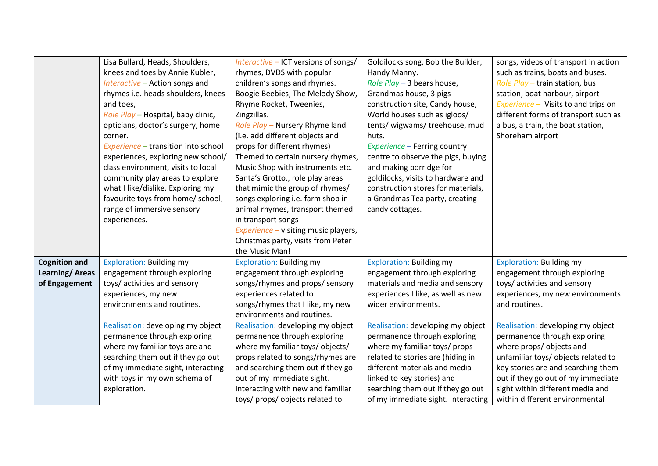|                      | Lisa Bullard, Heads, Shoulders,     | Interactive - ICT versions of songs/ | Goldilocks song, Bob the Builder,  | songs, videos of transport in action |  |
|----------------------|-------------------------------------|--------------------------------------|------------------------------------|--------------------------------------|--|
|                      | knees and toes by Annie Kubler,     | rhymes, DVDS with popular            | Handy Manny.                       | such as trains, boats and buses.     |  |
|                      | Interactive - Action songs and      | children's songs and rhymes.         | Role Play $-3$ bears house,        | Role Play - train station, bus       |  |
|                      | rhymes i.e. heads shoulders, knees  | Boogie Beebies, The Melody Show,     | Grandmas house, 3 pigs             | station, boat harbour, airport       |  |
|                      | and toes,                           | Rhyme Rocket, Tweenies,              | construction site, Candy house,    | Experience - Visits to and trips on  |  |
|                      | Role Play - Hospital, baby clinic,  | Zingzillas.                          | World houses such as igloos/       | different forms of transport such as |  |
|                      | opticians, doctor's surgery, home   | Role Play - Nursery Rhyme land       | tents/ wigwams/ treehouse, mud     | a bus, a train, the boat station,    |  |
|                      | corner.                             | (i.e. add different objects and      | huts.                              | Shoreham airport                     |  |
|                      | Experience - transition into school | props for different rhymes)          | Experience - Ferring country       |                                      |  |
|                      | experiences, exploring new school/  | Themed to certain nursery rhymes,    | centre to observe the pigs, buying |                                      |  |
|                      | class environment, visits to local  | Music Shop with instruments etc.     | and making porridge for            |                                      |  |
|                      | community play areas to explore     | Santa's Grotto., role play areas     | goldilocks, visits to hardware and |                                      |  |
|                      | what I like/dislike. Exploring my   | that mimic the group of rhymes/      | construction stores for materials, |                                      |  |
|                      | favourite toys from home/ school,   | songs exploring i.e. farm shop in    | a Grandmas Tea party, creating     |                                      |  |
|                      | range of immersive sensory          | animal rhymes, transport themed      | candy cottages.                    |                                      |  |
|                      | experiences.                        | in transport songs                   |                                    |                                      |  |
|                      |                                     | Experience - visiting music players, |                                    |                                      |  |
|                      |                                     | Christmas party, visits from Peter   |                                    |                                      |  |
|                      |                                     | the Music Man!                       |                                    |                                      |  |
| <b>Cognition and</b> | <b>Exploration: Building my</b>     | <b>Exploration: Building my</b>      | <b>Exploration: Building my</b>    | <b>Exploration: Building my</b>      |  |
| Learning/Areas       | engagement through exploring        | engagement through exploring         | engagement through exploring       | engagement through exploring         |  |
| of Engagement        | toys/activities and sensory         | songs/rhymes and props/ sensory      | materials and media and sensory    | toys/ activities and sensory         |  |
|                      | experiences, my new                 | experiences related to               | experiences I like, as well as new | experiences, my new environments     |  |
|                      | environments and routines.          | songs/rhymes that I like, my new     | wider environments.                | and routines.                        |  |
|                      |                                     | environments and routines.           |                                    |                                      |  |
|                      | Realisation: developing my object   | Realisation: developing my object    | Realisation: developing my object  | Realisation: developing my object    |  |
|                      | permanence through exploring        | permanence through exploring         | permanence through exploring       | permanence through exploring         |  |
|                      | where my familiar toys are and      | where my familiar toys/ objects/     | where my familiar toys/ props      | where props/ objects and             |  |
|                      | searching them out if they go out   | props related to songs/rhymes are    | related to stories are (hiding in  | unfamiliar toys/ objects related to  |  |
|                      | of my immediate sight, interacting  | and searching them out if they go    | different materials and media      | key stories are and searching them   |  |
|                      | with toys in my own schema of       | out of my immediate sight.           | linked to key stories) and         | out if they go out of my immediate   |  |
|                      | exploration.                        | Interacting with new and familiar    | searching them out if they go out  | sight within different media and     |  |
|                      |                                     | toys/ props/ objects related to      | of my immediate sight. Interacting | within different environmental       |  |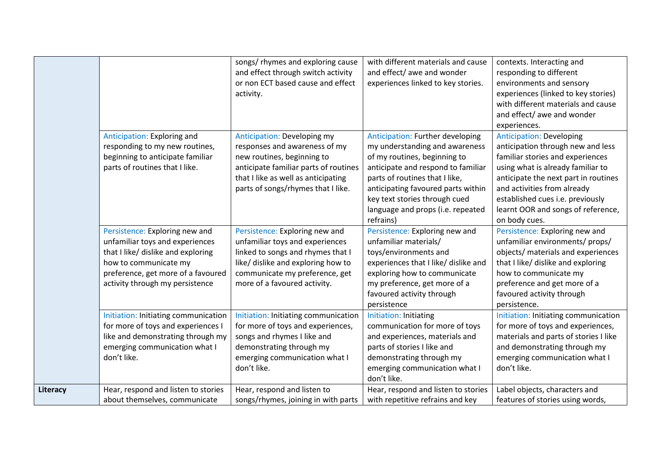|          |                                      | songs/ rhymes and exploring cause     | with different materials and cause   | contexts. Interacting and             |
|----------|--------------------------------------|---------------------------------------|--------------------------------------|---------------------------------------|
|          |                                      | and effect through switch activity    | and effect/ awe and wonder           | responding to different               |
|          |                                      | or non ECT based cause and effect     | experiences linked to key stories.   | environments and sensory              |
|          |                                      | activity.                             |                                      | experiences (linked to key stories)   |
|          |                                      |                                       |                                      | with different materials and cause    |
|          |                                      |                                       |                                      | and effect/ awe and wonder            |
|          |                                      |                                       |                                      | experiences.                          |
|          | Anticipation: Exploring and          | <b>Anticipation: Developing my</b>    | Anticipation: Further developing     | <b>Anticipation: Developing</b>       |
|          | responding to my new routines,       | responses and awareness of my         | my understanding and awareness       | anticipation through new and less     |
|          | beginning to anticipate familiar     | new routines, beginning to            | of my routines, beginning to         | familiar stories and experiences      |
|          | parts of routines that I like.       | anticipate familiar parts of routines | anticipate and respond to familiar   | using what is already familiar to     |
|          |                                      | that I like as well as anticipating   | parts of routines that I like,       | anticipate the next part in routines  |
|          |                                      | parts of songs/rhymes that I like.    | anticipating favoured parts within   | and activities from already           |
|          |                                      |                                       | key text stories through cued        | established cues i.e. previously      |
|          |                                      |                                       | language and props (i.e. repeated    | learnt OOR and songs of reference,    |
|          |                                      |                                       | refrains)                            | on body cues.                         |
|          | Persistence: Exploring new and       | Persistence: Exploring new and        | Persistence: Exploring new and       | Persistence: Exploring new and        |
|          | unfamiliar toys and experiences      | unfamiliar toys and experiences       | unfamiliar materials/                | unfamiliar environments/ props/       |
|          | that I like/ dislike and exploring   | linked to songs and rhymes that I     | toys/environments and                | objects/ materials and experiences    |
|          | how to communicate my                | like/ dislike and exploring how to    | experiences that I like/ dislike and | that I like/ dislike and exploring    |
|          | preference, get more of a favoured   | communicate my preference, get        | exploring how to communicate         | how to communicate my                 |
|          | activity through my persistence      | more of a favoured activity.          | my preference, get more of a         | preference and get more of a          |
|          |                                      |                                       | favoured activity through            | favoured activity through             |
|          |                                      |                                       | persistence                          | persistence.                          |
|          | Initiation: Initiating communication | Initiation: Initiating communication  | Initiation: Initiating               | Initiation: Initiating communication  |
|          | for more of toys and experiences I   | for more of toys and experiences,     | communication for more of toys       | for more of toys and experiences,     |
|          | like and demonstrating through my    | songs and rhymes I like and           | and experiences, materials and       | materials and parts of stories I like |
|          | emerging communication what I        | demonstrating through my              | parts of stories I like and          | and demonstrating through my          |
|          | don't like.                          | emerging communication what I         | demonstrating through my             | emerging communication what I         |
|          |                                      | don't like.                           | emerging communication what I        | don't like.                           |
|          |                                      |                                       | don't like.                          |                                       |
| Literacy | Hear, respond and listen to stories  | Hear, respond and listen to           | Hear, respond and listen to stories  | Label objects, characters and         |
|          | about themselves, communicate        | songs/rhymes, joining in with parts   | with repetitive refrains and key     | features of stories using words,      |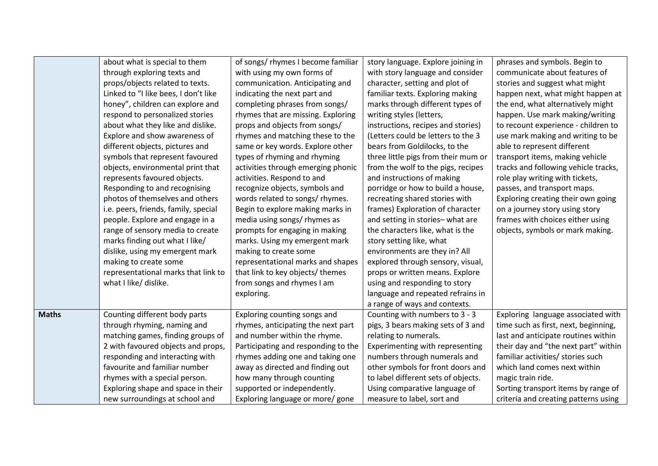|              | about what is special to them        | of songs/ rhymes I become familiar  | story language. Explore joining in  | phrases and symbols. Begin to        |
|--------------|--------------------------------------|-------------------------------------|-------------------------------------|--------------------------------------|
|              | through exploring texts and          | with using my own forms of          | with story language and consider    | communicate about features of        |
|              | props/objects related to texts.      | communication. Anticipating and     | character, setting and plot of      | stories and suggest what might       |
|              | Linked to "I like bees, I don't like | indicating the next part and        | familiar texts. Exploring making    | happen next, what might happen at    |
|              | honey", children can explore and     | completing phrases from songs/      | marks through different types of    | the end, what alternatively might    |
|              | respond to personalized stories      | rhymes that are missing. Exploring  | writing styles (letters,            | happen. Use mark making/writing      |
|              | about what they like and dislike.    | props and objects from songs/       | instructions, recipes and stories)  | to recount experience - children to  |
|              | Explore and show awareness of        | rhymes and matching these to the    | (Letters could be letters to the 3  | use mark making and writing to be    |
|              | different objects, pictures and      | same or key words. Explore other    | bears from Goldilocks, to the       | able to represent different          |
|              | symbols that represent favoured      | types of rhyming and rhyming        | three little pigs from their mum or | transport items, making vehicle      |
|              | objects, environmental print that    | activities through emerging phonic  | from the wolf to the pigs, recipes  | tracks and following vehicle tracks, |
|              | represents favoured objects.         | activities. Respond to and          | and instructions of making          | role play writing with tickets,      |
|              | Responding to and recognising        | recognize objects, symbols and      | porridge or how to build a house,   | passes, and transport maps.          |
|              | photos of themselves and others      | words related to songs/ rhymes.     | recreating shared stories with      | Exploring creating their own going   |
|              | i.e. peers, friends, family, special | Begin to explore making marks in    | frames) Exploration of character    | on a journey story using story       |
|              | people. Explore and engage in a      | media using songs/ rhymes as        | and setting in stories-what are     | frames with choices either using     |
|              | range of sensory media to create     | prompts for engaging in making      | the characters like, what is the    | objects, symbols or mark making.     |
|              | marks finding out what I like/       | marks. Using my emergent mark       | story setting like, what            |                                      |
|              | dislike, using my emergent mark      | making to create some               | environments are they in? All       |                                      |
|              | making to create some                | representational marks and shapes   | explored through sensory, visual,   |                                      |
|              | representational marks that link to  | that link to key objects/ themes    | props or written means. Explore     |                                      |
|              | what I like/ dislike.                | from songs and rhymes I am          | using and responding to story       |                                      |
|              |                                      | exploring.                          | language and repeated refrains in   |                                      |
|              |                                      |                                     | a range of ways and contexts.       |                                      |
| <b>Maths</b> | Counting different body parts        | Exploring counting songs and        | Counting with numbers to 3 - 3      | Exploring language associated with   |
|              | through rhyming, naming and          | rhymes, anticipating the next part  | pigs, 3 bears making sets of 3 and  | time such as first, next, beginning, |
|              | matching games, finding groups of    | and number within the rhyme.        | relating to numerals.               | last and anticipate routines within  |
|              | 2 with favoured objects and props,   | Participating and responding to the | Experimenting with representing     | their day and "the next part" within |
|              | responding and interacting with      | rhymes adding one and taking one    | numbers through numerals and        | familiar activities/ stories such    |
|              | favourite and familiar number        | away as directed and finding out    | other symbols for front doors and   | which land comes next within         |
|              | rhymes with a special person.        | how many through counting           | to label different sets of objects. | magic train ride.                    |
|              | Exploring shape and space in their   | supported or independently.         | Using comparative language of       | Sorting transport items by range of  |
|              | new surroundings at school and       | Exploring language or more/ gone    | measure to label, sort and          | criteria and creating patterns using |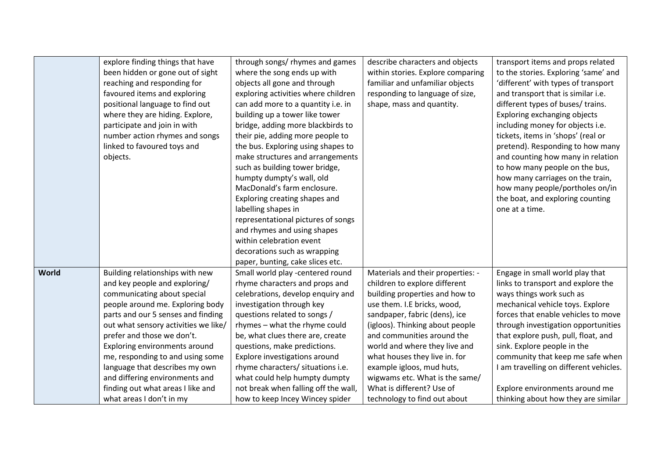|       | explore finding things that have     | through songs/ rhymes and games      | describe characters and objects   | transport items and props related      |
|-------|--------------------------------------|--------------------------------------|-----------------------------------|----------------------------------------|
|       | been hidden or gone out of sight     | where the song ends up with          | within stories. Explore comparing | to the stories. Exploring 'same' and   |
|       | reaching and responding for          | objects all gone and through         | familiar and unfamiliar objects   | 'different' with types of transport    |
|       | favoured items and exploring         | exploring activities where children  | responding to language of size,   | and transport that is similar i.e.     |
|       | positional language to find out      | can add more to a quantity i.e. in   | shape, mass and quantity.         | different types of buses/ trains.      |
|       | where they are hiding. Explore,      | building up a tower like tower       |                                   | Exploring exchanging objects           |
|       | participate and join in with         | bridge, adding more blackbirds to    |                                   | including money for objects i.e.       |
|       | number action rhymes and songs       | their pie, adding more people to     |                                   | tickets, items in 'shops' (real or     |
|       | linked to favoured toys and          | the bus. Exploring using shapes to   |                                   | pretend). Responding to how many       |
|       | objects.                             | make structures and arrangements     |                                   | and counting how many in relation      |
|       |                                      | such as building tower bridge,       |                                   | to how many people on the bus,         |
|       |                                      | humpty dumpty's wall, old            |                                   | how many carriages on the train,       |
|       |                                      | MacDonald's farm enclosure.          |                                   | how many people/portholes on/in        |
|       |                                      | Exploring creating shapes and        |                                   | the boat, and exploring counting       |
|       |                                      | labelling shapes in                  |                                   | one at a time.                         |
|       |                                      | representational pictures of songs   |                                   |                                        |
|       |                                      | and rhymes and using shapes          |                                   |                                        |
|       |                                      | within celebration event             |                                   |                                        |
|       |                                      | decorations such as wrapping         |                                   |                                        |
|       |                                      | paper, bunting, cake slices etc.     |                                   |                                        |
| World | Building relationships with new      | Small world play -centered round     | Materials and their properties: - | Engage in small world play that        |
|       | and key people and exploring/        | rhyme characters and props and       | children to explore different     | links to transport and explore the     |
|       | communicating about special          | celebrations, develop enquiry and    | building properties and how to    | ways things work such as               |
|       | people around me. Exploring body     | investigation through key            | use them. I.E bricks, wood,       | mechanical vehicle toys. Explore       |
|       | parts and our 5 senses and finding   | questions related to songs /         | sandpaper, fabric (dens), ice     | forces that enable vehicles to move    |
|       | out what sensory activities we like/ | rhymes - what the rhyme could        | (igloos). Thinking about people   | through investigation opportunities    |
|       | prefer and those we don't.           | be, what clues there are, create     | and communities around the        | that explore push, pull, float, and    |
|       | Exploring environments around        | questions, make predictions.         | world and where they live and     | sink. Explore people in the            |
|       | me, responding to and using some     | Explore investigations around        | what houses they live in. for     | community that keep me safe when       |
|       | language that describes my own       | rhyme characters/ situations i.e.    | example igloos, mud huts,         | I am travelling on different vehicles. |
|       | and differing environments and       | what could help humpty dumpty        | wigwams etc. What is the same/    |                                        |
|       | finding out what areas I like and    | not break when falling off the wall, | What is different? Use of         | Explore environments around me         |
|       | what areas I don't in my             | how to keep Incey Wincey spider      | technology to find out about      | thinking about how they are similar    |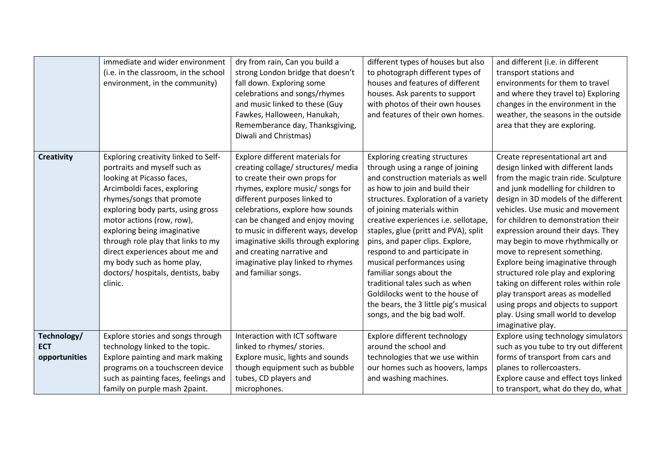|                             | immediate and wider environment<br>(i.e. in the classroom, in the school<br>environment, in the community)                                                                                                                                                                                                                                                                                                            | dry from rain, Can you build a<br>strong London bridge that doesn't<br>fall down. Exploring some<br>celebrations and songs/rhymes<br>and music linked to these (Guy<br>Fawkes, Halloween, Hanukah,<br>Rememberance day, Thanksgiving,<br>Diwali and Christmas)                                                                                                                                                              | different types of houses but also<br>to photograph different types of<br>houses and features of different<br>houses. Ask parents to support<br>with photos of their own houses<br>and features of their own homes.                                                                                                                                                                                                                                                                                                                                                                 | and different (i.e. in different<br>transport stations and<br>environments for them to travel<br>and where they travel to) Exploring<br>changes in the environment in the<br>weather, the seasons in the outside<br>area that they are exploring.                                                                                                                                                                                                                                                                                                                                                                                          |
|-----------------------------|-----------------------------------------------------------------------------------------------------------------------------------------------------------------------------------------------------------------------------------------------------------------------------------------------------------------------------------------------------------------------------------------------------------------------|-----------------------------------------------------------------------------------------------------------------------------------------------------------------------------------------------------------------------------------------------------------------------------------------------------------------------------------------------------------------------------------------------------------------------------|-------------------------------------------------------------------------------------------------------------------------------------------------------------------------------------------------------------------------------------------------------------------------------------------------------------------------------------------------------------------------------------------------------------------------------------------------------------------------------------------------------------------------------------------------------------------------------------|--------------------------------------------------------------------------------------------------------------------------------------------------------------------------------------------------------------------------------------------------------------------------------------------------------------------------------------------------------------------------------------------------------------------------------------------------------------------------------------------------------------------------------------------------------------------------------------------------------------------------------------------|
| <b>Creativity</b>           | Exploring creativity linked to Self-<br>portraits and myself such as<br>looking at Picasso faces,<br>Arcimboldi faces, exploring<br>rhymes/songs that promote<br>exploring body parts, using gross<br>motor actions (row, row),<br>exploring being imaginative<br>through role play that links to my<br>direct experiences about me and<br>my body such as home play,<br>doctors/hospitals, dentists, baby<br>clinic. | Explore different materials for<br>creating collage/ structures/ media<br>to create their own props for<br>rhymes, explore music/ songs for<br>different purposes linked to<br>celebrations, explore how sounds<br>can be changed and enjoy moving<br>to music in different ways, develop<br>imaginative skills through exploring<br>and creating narrative and<br>imaginative play linked to rhymes<br>and familiar songs. | <b>Exploring creating structures</b><br>through using a range of joining<br>and construction materials as well<br>as how to join and build their<br>structures. Exploration of a variety<br>of joining materials within<br>creative experiences i.e. sellotape,<br>staples, glue (pritt and PVA), split<br>pins, and paper clips. Explore,<br>respond to and participate in<br>musical performances using<br>familiar songs about the<br>traditional tales such as when<br>Goldilocks went to the house of<br>the bears, the 3 little pig's musical<br>songs, and the big bad wolf. | Create representational art and<br>design linked with different lands<br>from the magic train ride. Sculpture<br>and junk modelling for children to<br>design in 3D models of the different<br>vehicles. Use music and movement<br>for children to demonstration their<br>expression around their days. They<br>may begin to move rhythmically or<br>move to represent something.<br>Explore being imaginative through<br>structured role play and exploring<br>taking on different roles within role<br>play transport areas as modelled<br>using props and objects to support<br>play. Using small world to develop<br>imaginative play. |
| Technology/                 | Explore stories and songs through                                                                                                                                                                                                                                                                                                                                                                                     | Interaction with ICT software                                                                                                                                                                                                                                                                                                                                                                                               | Explore different technology                                                                                                                                                                                                                                                                                                                                                                                                                                                                                                                                                        | Explore using technology simulators                                                                                                                                                                                                                                                                                                                                                                                                                                                                                                                                                                                                        |
| <b>ECT</b><br>opportunities | technology linked to the topic.<br>Explore painting and mark making                                                                                                                                                                                                                                                                                                                                                   | linked to rhymes/ stories.<br>Explore music, lights and sounds                                                                                                                                                                                                                                                                                                                                                              | around the school and<br>technologies that we use within                                                                                                                                                                                                                                                                                                                                                                                                                                                                                                                            | such as you tube to try out different<br>forms of transport from cars and                                                                                                                                                                                                                                                                                                                                                                                                                                                                                                                                                                  |
|                             | programs on a touchscreen device                                                                                                                                                                                                                                                                                                                                                                                      | though equipment such as bubble                                                                                                                                                                                                                                                                                                                                                                                             | our homes such as hoovers, lamps                                                                                                                                                                                                                                                                                                                                                                                                                                                                                                                                                    | planes to rollercoasters.                                                                                                                                                                                                                                                                                                                                                                                                                                                                                                                                                                                                                  |
|                             | such as painting faces, feelings and                                                                                                                                                                                                                                                                                                                                                                                  | tubes, CD players and                                                                                                                                                                                                                                                                                                                                                                                                       | and washing machines.                                                                                                                                                                                                                                                                                                                                                                                                                                                                                                                                                               | Explore cause and effect toys linked                                                                                                                                                                                                                                                                                                                                                                                                                                                                                                                                                                                                       |
|                             | family on purple mash 2paint.                                                                                                                                                                                                                                                                                                                                                                                         | microphones.                                                                                                                                                                                                                                                                                                                                                                                                                |                                                                                                                                                                                                                                                                                                                                                                                                                                                                                                                                                                                     | to transport, what do they do, what                                                                                                                                                                                                                                                                                                                                                                                                                                                                                                                                                                                                        |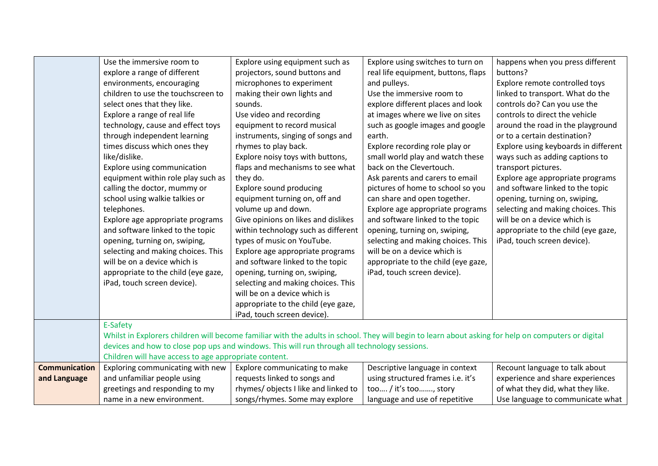| Use the immersive room to<br>Explore using switches to turn on<br>happens when you press different<br>Explore using equipment such as                          |  |
|----------------------------------------------------------------------------------------------------------------------------------------------------------------|--|
| explore a range of different<br>projectors, sound buttons and<br>real life equipment, buttons, flaps<br>buttons?                                               |  |
| microphones to experiment<br>environments, encouraging<br>Explore remote controlled toys<br>and pulleys.                                                       |  |
| children to use the touchscreen to<br>making their own lights and<br>Use the immersive room to<br>linked to transport. What do the                             |  |
| select ones that they like.<br>explore different places and look<br>controls do? Can you use the<br>sounds.                                                    |  |
| at images where we live on sites<br>controls to direct the vehicle<br>Explore a range of real life<br>Use video and recording                                  |  |
| technology, cause and effect toys<br>such as google images and google<br>around the road in the playground<br>equipment to record musical                      |  |
| through independent learning<br>or to a certain destination?<br>instruments, singing of songs and<br>earth.                                                    |  |
| times discuss which ones they<br>Explore recording role play or<br>rhymes to play back.<br>Explore using keyboards in different                                |  |
| like/dislike.<br>Explore noisy toys with buttons,<br>small world play and watch these<br>ways such as adding captions to                                       |  |
| flaps and mechanisms to see what<br>back on the Clevertouch.<br>Explore using communication<br>transport pictures.                                             |  |
| equipment within role play such as<br>Ask parents and carers to email<br>Explore age appropriate programs<br>they do.                                          |  |
| Explore sound producing<br>and software linked to the topic<br>calling the doctor, mummy or<br>pictures of home to school so you                               |  |
| can share and open together.<br>school using walkie talkies or<br>equipment turning on, off and<br>opening, turning on, swiping,                               |  |
| volume up and down.<br>telephones.<br>Explore age appropriate programs<br>selecting and making choices. This                                                   |  |
| Give opinions on likes and dislikes<br>will be on a device which is<br>Explore age appropriate programs<br>and software linked to the topic                    |  |
| and software linked to the topic<br>within technology such as different<br>appropriate to the child (eye gaze,<br>opening, turning on, swiping,                |  |
| opening, turning on, swiping,<br>types of music on YouTube.<br>selecting and making choices. This<br>iPad, touch screen device).                               |  |
| selecting and making choices. This<br>Explore age appropriate programs<br>will be on a device which is                                                         |  |
| will be on a device which is<br>and software linked to the topic<br>appropriate to the child (eye gaze,                                                        |  |
| appropriate to the child (eye gaze,<br>iPad, touch screen device).<br>opening, turning on, swiping,                                                            |  |
| iPad, touch screen device).<br>selecting and making choices. This                                                                                              |  |
| will be on a device which is                                                                                                                                   |  |
| appropriate to the child (eye gaze,                                                                                                                            |  |
| iPad, touch screen device).                                                                                                                                    |  |
| E-Safety                                                                                                                                                       |  |
| Whilst in Explorers children will become familiar with the adults in school. They will begin to learn about asking for help on computers or digital            |  |
| devices and how to close pop ups and windows. This will run through all technology sessions.                                                                   |  |
| Children will have access to age appropriate content.                                                                                                          |  |
| <b>Communication</b><br>Exploring communicating with new<br>Explore communicating to make<br>Descriptive language in context<br>Recount language to talk about |  |
| using structured frames i.e. it's<br>and unfamiliar people using<br>requests linked to songs and<br>experience and share experiences<br>and Language           |  |
| rhymes/ objects I like and linked to<br>greetings and responding to my<br>too / it's too, story<br>of what they did, what they like.                           |  |
| language and use of repetitive<br>name in a new environment.<br>songs/rhymes. Some may explore<br>Use language to communicate what                             |  |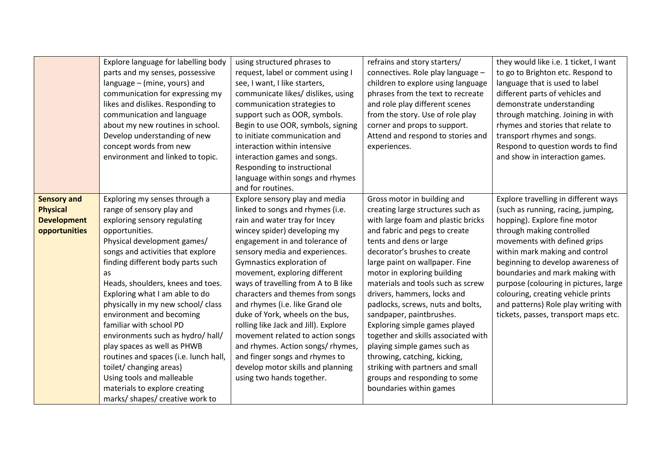|                                                                              | Explore language for labelling body<br>parts and my senses, possessive<br>language - (mine, yours) and<br>communication for expressing my<br>likes and dislikes. Responding to<br>communication and language<br>about my new routines in school.<br>Develop understanding of new<br>concept words from new<br>environment and linked to topic.                                                                                                                                                                                                                                                                                           | using structured phrases to<br>request, label or comment using I<br>see, I want, I like starters,<br>communicate likes/ dislikes, using<br>communication strategies to<br>support such as OOR, symbols.<br>Begin to use OOR, symbols, signing<br>to initiate communication and<br>interaction within intensive<br>interaction games and songs.<br>Responding to instructional<br>language within songs and rhymes<br>and for routines.                                                                                                                                                                                                       | refrains and story starters/<br>connectives. Role play language -<br>children to explore using language<br>phrases from the text to recreate<br>and role play different scenes<br>from the story. Use of role play<br>corner and props to support.<br>Attend and respond to stories and<br>experiences.                                                                                                                                                                                                                                                                                                                                           | they would like i.e. 1 ticket, I want<br>to go to Brighton etc. Respond to<br>language that is used to label<br>different parts of vehicles and<br>demonstrate understanding<br>through matching. Joining in with<br>rhymes and stories that relate to<br>transport rhymes and songs.<br>Respond to question words to find<br>and show in interaction games.                                                                                     |
|------------------------------------------------------------------------------|------------------------------------------------------------------------------------------------------------------------------------------------------------------------------------------------------------------------------------------------------------------------------------------------------------------------------------------------------------------------------------------------------------------------------------------------------------------------------------------------------------------------------------------------------------------------------------------------------------------------------------------|----------------------------------------------------------------------------------------------------------------------------------------------------------------------------------------------------------------------------------------------------------------------------------------------------------------------------------------------------------------------------------------------------------------------------------------------------------------------------------------------------------------------------------------------------------------------------------------------------------------------------------------------|---------------------------------------------------------------------------------------------------------------------------------------------------------------------------------------------------------------------------------------------------------------------------------------------------------------------------------------------------------------------------------------------------------------------------------------------------------------------------------------------------------------------------------------------------------------------------------------------------------------------------------------------------|--------------------------------------------------------------------------------------------------------------------------------------------------------------------------------------------------------------------------------------------------------------------------------------------------------------------------------------------------------------------------------------------------------------------------------------------------|
| <b>Sensory and</b><br><b>Physical</b><br><b>Development</b><br>opportunities | Exploring my senses through a<br>range of sensory play and<br>exploring sensory regulating<br>opportunities.<br>Physical development games/<br>songs and activities that explore<br>finding different body parts such<br>as<br>Heads, shoulders, knees and toes.<br>Exploring what I am able to do<br>physically in my new school/ class<br>environment and becoming<br>familiar with school PD<br>environments such as hydro/ hall/<br>play spaces as well as PHWB<br>routines and spaces (i.e. lunch hall,<br>toilet/ changing areas)<br>Using tools and malleable<br>materials to explore creating<br>marks/ shapes/ creative work to | Explore sensory play and media<br>linked to songs and rhymes (i.e.<br>rain and water tray for Incey<br>wincey spider) developing my<br>engagement in and tolerance of<br>sensory media and experiences.<br>Gymnastics exploration of<br>movement, exploring different<br>ways of travelling from A to B like<br>characters and themes from songs<br>and rhymes (i.e. like Grand ole<br>duke of York, wheels on the bus,<br>rolling like Jack and Jill). Explore<br>movement related to action songs<br>and rhymes. Action songs/ rhymes,<br>and finger songs and rhymes to<br>develop motor skills and planning<br>using two hands together. | Gross motor in building and<br>creating large structures such as<br>with large foam and plastic bricks<br>and fabric and pegs to create<br>tents and dens or large<br>decorator's brushes to create<br>large paint on wallpaper. Fine<br>motor in exploring building<br>materials and tools such as screw<br>drivers, hammers, locks and<br>padlocks, screws, nuts and bolts,<br>sandpaper, paintbrushes.<br>Exploring simple games played<br>together and skills associated with<br>playing simple games such as<br>throwing, catching, kicking,<br>striking with partners and small<br>groups and responding to some<br>boundaries within games | Explore travelling in different ways<br>(such as running, racing, jumping,<br>hopping). Explore fine motor<br>through making controlled<br>movements with defined grips<br>within mark making and control<br>beginning to develop awareness of<br>boundaries and mark making with<br>purpose (colouring in pictures, large<br>colouring, creating vehicle prints<br>and patterns) Role play writing with<br>tickets, passes, transport maps etc. |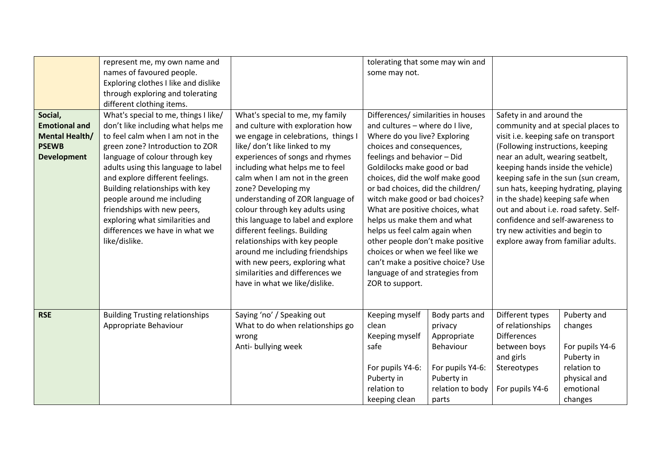| Social,<br><b>Emotional and</b><br><b>Mental Health/</b><br><b>PSEWB</b><br><b>Development</b> | represent me, my own name and<br>names of favoured people.<br>Exploring clothes I like and dislike<br>through exploring and tolerating<br>different clothing items.<br>What's special to me, things I like/<br>don't like including what helps me<br>to feel calm when I am not in the<br>green zone? Introduction to ZOR<br>language of colour through key<br>adults using this language to label<br>and explore different feelings.<br>Building relationships with key<br>people around me including<br>friendships with new peers,<br>exploring what similarities and<br>differences we have in what we<br>like/dislike. | What's special to me, my family<br>and culture with exploration how<br>we engage in celebrations, things I<br>like/ don't like linked to my<br>experiences of songs and rhymes<br>including what helps me to feel<br>calm when I am not in the green<br>zone? Developing my<br>understanding of ZOR language of<br>colour through key adults using<br>this language to label and explore<br>different feelings. Building<br>relationships with key people<br>around me including friendships<br>with new peers, exploring what<br>similarities and differences we<br>have in what we like/dislike. | tolerating that some may win and<br>some may not.<br>Differences/ similarities in houses<br>and cultures - where do I live,<br>Where do you live? Exploring<br>choices and consequences,<br>feelings and behavior - Did<br>Goldilocks make good or bad<br>choices, did the wolf make good<br>or bad choices, did the children/<br>witch make good or bad choices?<br>What are positive choices, what<br>helps us make them and what<br>helps us feel calm again when<br>other people don't make positive<br>choices or when we feel like we<br>can't make a positive choice? Use<br>language of and strategies from<br>ZOR to support. |                                                                                                                      | Safety in and around the<br>community and at special places to<br>visit i.e. keeping safe on transport<br>(Following instructions, keeping<br>near an adult, wearing seatbelt,<br>keeping hands inside the vehicle)<br>in the shade) keeping safe when<br>out and about i.e. road safety. Self-<br>confidence and self-awareness to<br>try new activities and begin to<br>explore away from familiar adults. | keeping safe in the sun (sun cream,<br>sun hats, keeping hydrating, playing                                    |
|------------------------------------------------------------------------------------------------|-----------------------------------------------------------------------------------------------------------------------------------------------------------------------------------------------------------------------------------------------------------------------------------------------------------------------------------------------------------------------------------------------------------------------------------------------------------------------------------------------------------------------------------------------------------------------------------------------------------------------------|----------------------------------------------------------------------------------------------------------------------------------------------------------------------------------------------------------------------------------------------------------------------------------------------------------------------------------------------------------------------------------------------------------------------------------------------------------------------------------------------------------------------------------------------------------------------------------------------------|----------------------------------------------------------------------------------------------------------------------------------------------------------------------------------------------------------------------------------------------------------------------------------------------------------------------------------------------------------------------------------------------------------------------------------------------------------------------------------------------------------------------------------------------------------------------------------------------------------------------------------------|----------------------------------------------------------------------------------------------------------------------|--------------------------------------------------------------------------------------------------------------------------------------------------------------------------------------------------------------------------------------------------------------------------------------------------------------------------------------------------------------------------------------------------------------|----------------------------------------------------------------------------------------------------------------|
| <b>RSE</b>                                                                                     | <b>Building Trusting relationships</b><br>Appropriate Behaviour                                                                                                                                                                                                                                                                                                                                                                                                                                                                                                                                                             | Saying 'no' / Speaking out<br>What to do when relationships go<br>wrong<br>Anti- bullying week                                                                                                                                                                                                                                                                                                                                                                                                                                                                                                     | Keeping myself<br>clean<br>Keeping myself<br>safe<br>For pupils Y4-6:<br>Puberty in<br>relation to<br>keeping clean                                                                                                                                                                                                                                                                                                                                                                                                                                                                                                                    | Body parts and<br>privacy<br>Appropriate<br>Behaviour<br>For pupils Y4-6:<br>Puberty in<br>relation to body<br>parts | Different types<br>of relationships<br><b>Differences</b><br>between boys<br>and girls<br>Stereotypes<br>For pupils Y4-6                                                                                                                                                                                                                                                                                     | Puberty and<br>changes<br>For pupils Y4-6<br>Puberty in<br>relation to<br>physical and<br>emotional<br>changes |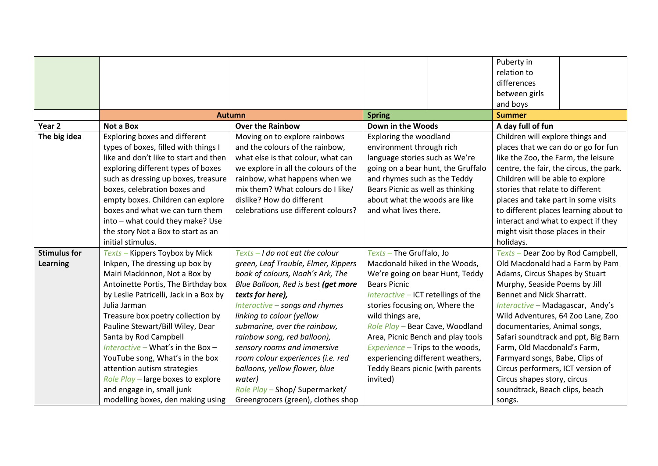|                     |                                        |                                      |                                     | Puberty in                              |  |
|---------------------|----------------------------------------|--------------------------------------|-------------------------------------|-----------------------------------------|--|
|                     |                                        |                                      |                                     | relation to                             |  |
|                     |                                        |                                      |                                     | differences                             |  |
|                     |                                        |                                      |                                     | between girls                           |  |
|                     |                                        |                                      |                                     | and boys                                |  |
|                     | <b>Autumn</b>                          |                                      | <b>Spring</b>                       | <b>Summer</b>                           |  |
| Year <sub>2</sub>   | Not a Box                              | <b>Over the Rainbow</b>              | Down in the Woods                   | A day full of fun                       |  |
| The big idea        | Exploring boxes and different          | Moving on to explore rainbows        | Exploring the woodland              | Children will explore things and        |  |
|                     | types of boxes, filled with things I   | and the colours of the rainbow,      | environment through rich            | places that we can do or go for fun     |  |
|                     | like and don't like to start and then  | what else is that colour, what can   | language stories such as We're      | like the Zoo, the Farm, the leisure     |  |
|                     | exploring different types of boxes     | we explore in all the colours of the | going on a bear hunt, the Gruffalo  | centre, the fair, the circus, the park. |  |
|                     | such as dressing up boxes, treasure    | rainbow, what happens when we        | and rhymes such as the Teddy        | Children will be able to explore        |  |
|                     | boxes, celebration boxes and           | mix them? What colours do I like/    | Bears Picnic as well as thinking    | stories that relate to different        |  |
|                     | empty boxes. Children can explore      | dislike? How do different            | about what the woods are like       | places and take part in some visits     |  |
|                     | boxes and what we can turn them        | celebrations use different colours?  | and what lives there.               | to different places learning about to   |  |
|                     | into - what could they make? Use       |                                      |                                     | interact and what to expect if they     |  |
|                     | the story Not a Box to start as an     |                                      |                                     | might visit those places in their       |  |
|                     | initial stimulus.                      |                                      |                                     | holidays.                               |  |
| <b>Stimulus for</b> | Texts - Kippers Toybox by Mick         | Texts $-1$ do not eat the colour     | Texts - The Gruffalo, Jo            | Texts - Dear Zoo by Rod Campbell,       |  |
| <b>Learning</b>     | Inkpen, The dressing up box by         | green, Leaf Trouble, Elmer, Kippers  | Macdonald hiked in the Woods,       | Old Macdonald had a Farm by Pam         |  |
|                     | Mairi Mackinnon, Not a Box by          | book of colours, Noah's Ark, The     | We're going on bear Hunt, Teddy     | Adams, Circus Shapes by Stuart          |  |
|                     | Antoinette Portis, The Birthday box    | Blue Balloon, Red is best (get more  | <b>Bears Picnic</b>                 | Murphy, Seaside Poems by Jill           |  |
|                     | by Leslie Patricelli, Jack in a Box by | texts for here),                     | Interactive - ICT retellings of the | Bennet and Nick Sharratt.               |  |
|                     | Julia Jarman                           | Interactive – songs and rhymes       | stories focusing on, Where the      | Interactive - Madagascar, Andy's        |  |
|                     | Treasure box poetry collection by      | linking to colour (yellow            | wild things are,                    | Wild Adventures, 64 Zoo Lane, Zoo       |  |
|                     | Pauline Stewart/Bill Wiley, Dear       | submarine, over the rainbow,         | Role Play - Bear Cave, Woodland     | documentaries, Animal songs,            |  |
|                     | Santa by Rod Campbell                  | rainbow song, red balloon),          | Area, Picnic Bench and play tools   | Safari soundtrack and ppt, Big Barn     |  |
|                     | Interactive - What's in the Box -      | sensory rooms and immersive          | Experience - Trips to the woods,    | Farm, Old Macdonald's Farm,             |  |
|                     | YouTube song, What's in the box        | room colour experiences (i.e. red    | experiencing different weathers,    | Farmyard songs, Babe, Clips of          |  |
|                     | attention autism strategies            | balloons, yellow flower, blue        | Teddy Bears picnic (with parents    | Circus performers, ICT version of       |  |
|                     | Role Play - large boxes to explore     | water)                               | invited)                            | Circus shapes story, circus             |  |
|                     | and engage in, small junk              | Role Play - Shop/ Supermarket/       |                                     | soundtrack, Beach clips, beach          |  |
|                     | modelling boxes, den making using      | Greengrocers (green), clothes shop   |                                     | songs.                                  |  |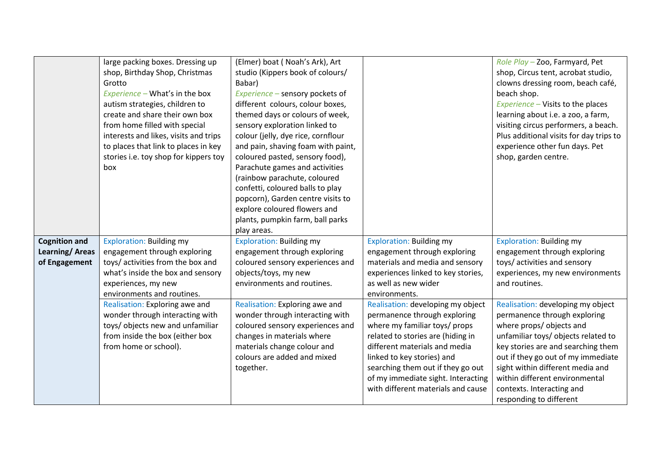|                       | large packing boxes. Dressing up      | (Elmer) boat (Noah's Ark), Art     |                                    | Role Play - Zoo, Farmyard, Pet          |
|-----------------------|---------------------------------------|------------------------------------|------------------------------------|-----------------------------------------|
|                       | shop, Birthday Shop, Christmas        | studio (Kippers book of colours/   |                                    | shop, Circus tent, acrobat studio,      |
|                       | Grotto                                | Babar)                             |                                    | clowns dressing room, beach café,       |
|                       | Experience - What's in the box        | Experience - sensory pockets of    |                                    | beach shop.                             |
|                       | autism strategies, children to        | different colours, colour boxes,   |                                    | Experience - Visits to the places       |
|                       | create and share their own box        | themed days or colours of week,    |                                    | learning about i.e. a zoo, a farm,      |
|                       | from home filled with special         | sensory exploration linked to      |                                    | visiting circus performers, a beach.    |
|                       | interests and likes, visits and trips | colour (jelly, dye rice, cornflour |                                    | Plus additional visits for day trips to |
|                       | to places that link to places in key  | and pain, shaving foam with paint, |                                    | experience other fun days. Pet          |
|                       | stories i.e. toy shop for kippers toy | coloured pasted, sensory food),    |                                    | shop, garden centre.                    |
|                       | box                                   | Parachute games and activities     |                                    |                                         |
|                       |                                       | (rainbow parachute, coloured       |                                    |                                         |
|                       |                                       | confetti, coloured balls to play   |                                    |                                         |
|                       |                                       | popcorn), Garden centre visits to  |                                    |                                         |
|                       |                                       | explore coloured flowers and       |                                    |                                         |
|                       |                                       | plants, pumpkin farm, ball parks   |                                    |                                         |
|                       |                                       | play areas.                        |                                    |                                         |
| <b>Cognition and</b>  | <b>Exploration: Building my</b>       | <b>Exploration: Building my</b>    | <b>Exploration: Building my</b>    | <b>Exploration: Building my</b>         |
| <b>Learning/Areas</b> | engagement through exploring          | engagement through exploring       | engagement through exploring       | engagement through exploring            |
| of Engagement         | toys/ activities from the box and     | coloured sensory experiences and   | materials and media and sensory    | toys/activities and sensory             |
|                       | what's inside the box and sensory     | objects/toys, my new               | experiences linked to key stories, | experiences, my new environments        |
|                       | experiences, my new                   | environments and routines.         | as well as new wider               | and routines.                           |
|                       | environments and routines.            |                                    | environments.                      |                                         |
|                       | Realisation: Exploring awe and        | Realisation: Exploring awe and     | Realisation: developing my object  | Realisation: developing my object       |
|                       | wonder through interacting with       | wonder through interacting with    | permanence through exploring       | permanence through exploring            |
|                       | toys/ objects new and unfamiliar      | coloured sensory experiences and   | where my familiar toys/ props      | where props/ objects and                |
|                       | from inside the box (either box       | changes in materials where         | related to stories are (hiding in  | unfamiliar toys/ objects related to     |
|                       | from home or school).                 | materials change colour and        | different materials and media      | key stories are and searching them      |
|                       |                                       | colours are added and mixed        | linked to key stories) and         | out if they go out of my immediate      |
|                       |                                       | together.                          | searching them out if they go out  | sight within different media and        |
|                       |                                       |                                    | of my immediate sight. Interacting | within different environmental          |
|                       |                                       |                                    | with different materials and cause | contexts. Interacting and               |
|                       |                                       |                                    |                                    | responding to different                 |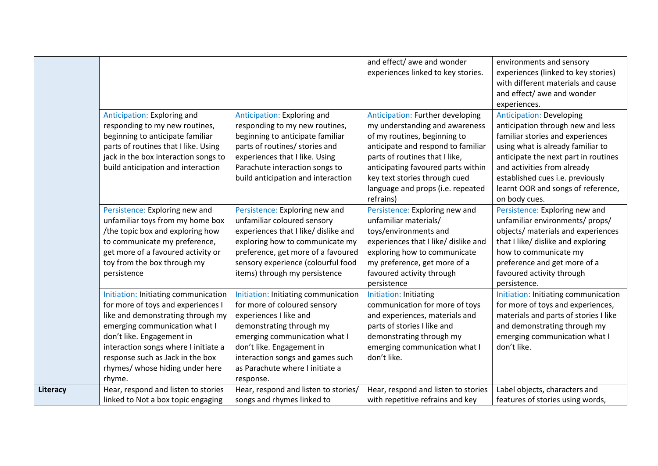|          |                                      |                                      | and effect/ awe and wonder              | environments and sensory              |
|----------|--------------------------------------|--------------------------------------|-----------------------------------------|---------------------------------------|
|          |                                      |                                      | experiences linked to key stories.      | experiences (linked to key stories)   |
|          |                                      |                                      |                                         | with different materials and cause    |
|          |                                      |                                      |                                         | and effect/ awe and wonder            |
|          |                                      |                                      |                                         | experiences.                          |
|          | Anticipation: Exploring and          | Anticipation: Exploring and          | <b>Anticipation: Further developing</b> | <b>Anticipation: Developing</b>       |
|          | responding to my new routines,       | responding to my new routines,       | my understanding and awareness          | anticipation through new and less     |
|          | beginning to anticipate familiar     | beginning to anticipate familiar     | of my routines, beginning to            | familiar stories and experiences      |
|          | parts of routines that I like. Using | parts of routines/ stories and       | anticipate and respond to familiar      | using what is already familiar to     |
|          | jack in the box interaction songs to | experiences that I like. Using       | parts of routines that I like,          | anticipate the next part in routines  |
|          | build anticipation and interaction   | Parachute interaction songs to       | anticipating favoured parts within      | and activities from already           |
|          |                                      | build anticipation and interaction   | key text stories through cued           | established cues i.e. previously      |
|          |                                      |                                      | language and props (i.e. repeated       | learnt OOR and songs of reference,    |
|          |                                      |                                      | refrains)                               | on body cues.                         |
|          | Persistence: Exploring new and       | Persistence: Exploring new and       | Persistence: Exploring new and          | Persistence: Exploring new and        |
|          | unfamiliar toys from my home box     | unfamiliar coloured sensory          | unfamiliar materials/                   | unfamiliar environments/ props/       |
|          | /the topic box and exploring how     | experiences that I like/ dislike and | toys/environments and                   | objects/ materials and experiences    |
|          | to communicate my preference,        | exploring how to communicate my      | experiences that I like/ dislike and    | that I like/ dislike and exploring    |
|          | get more of a favoured activity or   | preference, get more of a favoured   | exploring how to communicate            | how to communicate my                 |
|          | toy from the box through my          | sensory experience (colourful food   | my preference, get more of a            | preference and get more of a          |
|          | persistence                          | items) through my persistence        | favoured activity through               | favoured activity through             |
|          |                                      |                                      | persistence                             | persistence.                          |
|          | Initiation: Initiating communication | Initiation: Initiating communication | Initiation: Initiating                  | Initiation: Initiating communication  |
|          | for more of toys and experiences I   | for more of coloured sensory         | communication for more of toys          | for more of toys and experiences,     |
|          | like and demonstrating through my    | experiences I like and               | and experiences, materials and          | materials and parts of stories I like |
|          | emerging communication what I        | demonstrating through my             | parts of stories I like and             | and demonstrating through my          |
|          | don't like. Engagement in            | emerging communication what I        | demonstrating through my                | emerging communication what I         |
|          | interaction songs where I initiate a | don't like. Engagement in            | emerging communication what I           | don't like.                           |
|          | response such as Jack in the box     | interaction songs and games such     | don't like.                             |                                       |
|          | rhymes/ whose hiding under here      | as Parachute where I initiate a      |                                         |                                       |
|          | rhyme.                               | response.                            |                                         |                                       |
| Literacy | Hear, respond and listen to stories  | Hear, respond and listen to stories/ | Hear, respond and listen to stories     | Label objects, characters and         |
|          | linked to Not a box topic engaging   | songs and rhymes linked to           | with repetitive refrains and key        | features of stories using words,      |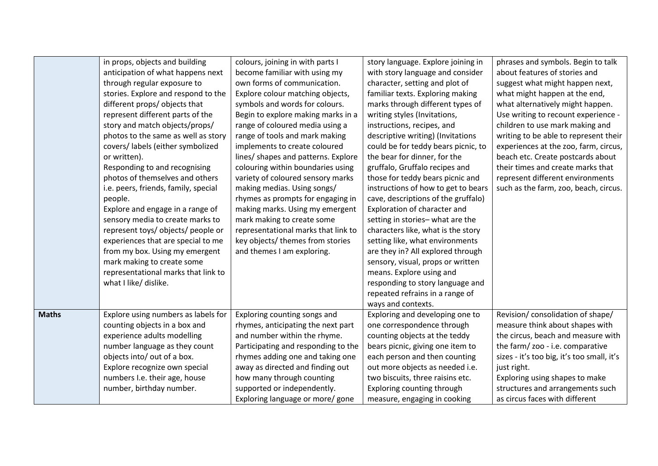|              | in props, objects and building       | colours, joining in with parts I    | story language. Explore joining in  | phrases and symbols. Begin to talk         |
|--------------|--------------------------------------|-------------------------------------|-------------------------------------|--------------------------------------------|
|              | anticipation of what happens next    | become familiar with using my       | with story language and consider    | about features of stories and              |
|              | through regular exposure to          | own forms of communication.         | character, setting and plot of      | suggest what might happen next,            |
|              | stories. Explore and respond to the  | Explore colour matching objects,    | familiar texts. Exploring making    | what might happen at the end,              |
|              | different props/ objects that        | symbols and words for colours.      | marks through different types of    | what alternatively might happen.           |
|              | represent different parts of the     | Begin to explore making marks in a  | writing styles (Invitations,        | Use writing to recount experience -        |
|              | story and match objects/props/       | range of coloured media using a     | instructions, recipes, and          | children to use mark making and            |
|              | photos to the same as well as story  | range of tools and mark making      | descriptive writing) (Invitations   | writing to be able to represent their      |
|              | covers/ labels (either symbolized    | implements to create coloured       | could be for teddy bears picnic, to | experiences at the zoo, farm, circus,      |
|              | or written).                         | lines/ shapes and patterns. Explore | the bear for dinner, for the        | beach etc. Create postcards about          |
|              | Responding to and recognising        | colouring within boundaries using   | gruffalo, Gruffalo recipes and      | their times and create marks that          |
|              | photos of themselves and others      | variety of coloured sensory marks   | those for teddy bears picnic and    | represent different environments           |
|              | i.e. peers, friends, family, special | making medias. Using songs/         | instructions of how to get to bears | such as the farm, zoo, beach, circus.      |
|              | people.                              | rhymes as prompts for engaging in   | cave, descriptions of the gruffalo) |                                            |
|              | Explore and engage in a range of     | making marks. Using my emergent     | Exploration of character and        |                                            |
|              | sensory media to create marks to     | mark making to create some          | setting in stories-what are the     |                                            |
|              | represent toys/objects/people or     | representational marks that link to | characters like, what is the story  |                                            |
|              | experiences that are special to me   | key objects/ themes from stories    | setting like, what environments     |                                            |
|              | from my box. Using my emergent       | and themes I am exploring.          | are they in? All explored through   |                                            |
|              | mark making to create some           |                                     | sensory, visual, props or written   |                                            |
|              | representational marks that link to  |                                     | means. Explore using and            |                                            |
|              | what I like/ dislike.                |                                     | responding to story language and    |                                            |
|              |                                      |                                     | repeated refrains in a range of     |                                            |
|              |                                      |                                     | ways and contexts.                  |                                            |
| <b>Maths</b> | Explore using numbers as labels for  | Exploring counting songs and        | Exploring and developing one to     | Revision/ consolidation of shape/          |
|              | counting objects in a box and        | rhymes, anticipating the next part  | one correspondence through          | measure think about shapes with            |
|              | experience adults modelling          | and number within the rhyme.        | counting objects at the teddy       | the circus, beach and measure with         |
|              | number language as they count        | Participating and responding to the | bears picnic, giving one item to    | the farm/ zoo - i.e. comparative           |
|              | objects into/ out of a box.          | rhymes adding one and taking one    | each person and then counting       | sizes - it's too big, it's too small, it's |
|              | Explore recognize own special        | away as directed and finding out    | out more objects as needed i.e.     | just right.                                |
|              | numbers I.e. their age, house        | how many through counting           | two biscuits, three raisins etc.    | Exploring using shapes to make             |
|              | number, birthday number.             | supported or independently.         | Exploring counting through          | structures and arrangements such           |
|              |                                      | Exploring language or more/ gone    | measure, engaging in cooking        | as circus faces with different             |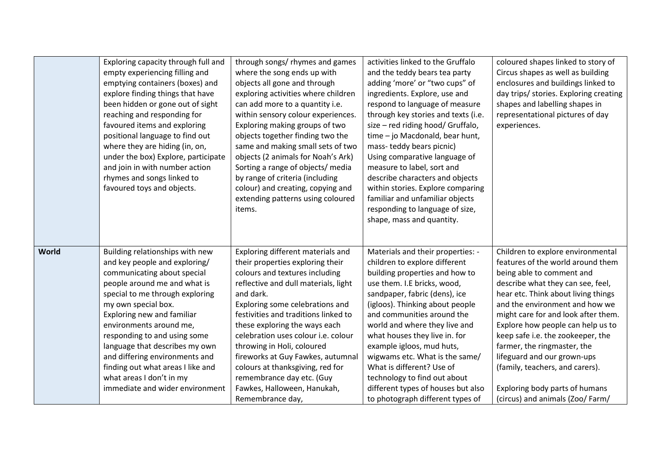|       | Exploring capacity through full and<br>empty experiencing filling and<br>emptying containers (boxes) and<br>explore finding things that have<br>been hidden or gone out of sight<br>reaching and responding for<br>favoured items and exploring<br>positional language to find out<br>where they are hiding (in, on,<br>under the box) Explore, participate<br>and join in with number action<br>rhymes and songs linked to<br>favoured toys and objects.  | through songs/ rhymes and games<br>where the song ends up with<br>objects all gone and through<br>exploring activities where children<br>can add more to a quantity i.e.<br>within sensory colour experiences.<br>Exploring making groups of two<br>objects together finding two the<br>same and making small sets of two<br>objects (2 animals for Noah's Ark)<br>Sorting a range of objects/ media<br>by range of criteria (including<br>colour) and creating, copying and<br>extending patterns using coloured<br>items. | activities linked to the Gruffalo<br>and the teddy bears tea party<br>adding 'more' or "two cups" of<br>ingredients. Explore, use and<br>respond to language of measure<br>through key stories and texts (i.e.<br>size - red riding hood/ Gruffalo,<br>time - jo Macdonald, bear hunt,<br>mass-teddy bears picnic)<br>Using comparative language of<br>measure to label, sort and<br>describe characters and objects<br>within stories. Explore comparing<br>familiar and unfamiliar objects<br>responding to language of size, | coloured shapes linked to story of<br>Circus shapes as well as building<br>enclosures and buildings linked to<br>day trips/ stories. Exploring creating<br>shapes and labelling shapes in<br>representational pictures of day<br>experiences.                                                                                                                                                                                                                                                             |
|-------|------------------------------------------------------------------------------------------------------------------------------------------------------------------------------------------------------------------------------------------------------------------------------------------------------------------------------------------------------------------------------------------------------------------------------------------------------------|-----------------------------------------------------------------------------------------------------------------------------------------------------------------------------------------------------------------------------------------------------------------------------------------------------------------------------------------------------------------------------------------------------------------------------------------------------------------------------------------------------------------------------|---------------------------------------------------------------------------------------------------------------------------------------------------------------------------------------------------------------------------------------------------------------------------------------------------------------------------------------------------------------------------------------------------------------------------------------------------------------------------------------------------------------------------------|-----------------------------------------------------------------------------------------------------------------------------------------------------------------------------------------------------------------------------------------------------------------------------------------------------------------------------------------------------------------------------------------------------------------------------------------------------------------------------------------------------------|
|       |                                                                                                                                                                                                                                                                                                                                                                                                                                                            |                                                                                                                                                                                                                                                                                                                                                                                                                                                                                                                             | shape, mass and quantity.                                                                                                                                                                                                                                                                                                                                                                                                                                                                                                       |                                                                                                                                                                                                                                                                                                                                                                                                                                                                                                           |
| World | Building relationships with new<br>and key people and exploring/<br>communicating about special<br>people around me and what is<br>special to me through exploring<br>my own special box.<br>Exploring new and familiar<br>environments around me,<br>responding to and using some<br>language that describes my own<br>and differing environments and<br>finding out what areas I like and<br>what areas I don't in my<br>immediate and wider environment | Exploring different materials and<br>their properties exploring their<br>colours and textures including<br>reflective and dull materials, light<br>and dark.<br>Exploring some celebrations and<br>festivities and traditions linked to<br>these exploring the ways each<br>celebration uses colour i.e. colour<br>throwing in Holi, coloured<br>fireworks at Guy Fawkes, autumnal<br>colours at thanksgiving, red for<br>remembrance day etc. (Guy<br>Fawkes, Halloween, Hanukah,<br>Remembrance day,                      | Materials and their properties: -<br>children to explore different<br>building properties and how to<br>use them. I.E bricks, wood,<br>sandpaper, fabric (dens), ice<br>(igloos). Thinking about people<br>and communities around the<br>world and where they live and<br>what houses they live in. for<br>example igloos, mud huts,<br>wigwams etc. What is the same/<br>What is different? Use of<br>technology to find out about<br>different types of houses but also<br>to photograph different types of                   | Children to explore environmental<br>features of the world around them<br>being able to comment and<br>describe what they can see, feel,<br>hear etc. Think about living things<br>and the environment and how we<br>might care for and look after them.<br>Explore how people can help us to<br>keep safe i.e. the zookeeper, the<br>farmer, the ringmaster, the<br>lifeguard and our grown-ups<br>(family, teachers, and carers).<br>Exploring body parts of humans<br>(circus) and animals (Zoo/ Farm/ |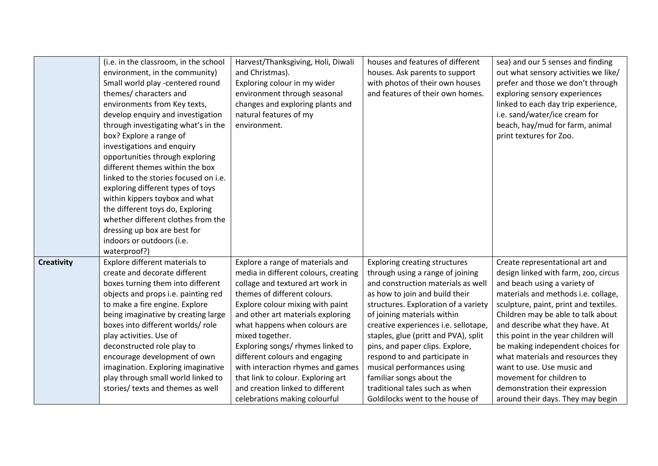|                   | (i.e. in the classroom, in the school | Harvest/Thanksgiving, Holi, Diwali   | houses and features of different     | sea) and our 5 senses and finding     |
|-------------------|---------------------------------------|--------------------------------------|--------------------------------------|---------------------------------------|
|                   | environment, in the community)        | and Christmas).                      | houses. Ask parents to support       | out what sensory activities we like/  |
|                   | Small world play -centered round      | Exploring colour in my wider         | with photos of their own houses      | prefer and those we don't through     |
|                   | themes/ characters and                | environment through seasonal         | and features of their own homes.     | exploring sensory experiences         |
|                   | environments from Key texts,          | changes and exploring plants and     |                                      | linked to each day trip experience,   |
|                   | develop enquiry and investigation     | natural features of my               |                                      | i.e. sand/water/ice cream for         |
|                   | through investigating what's in the   | environment.                         |                                      | beach, hay/mud for farm, animal       |
|                   | box? Explore a range of               |                                      |                                      | print textures for Zoo.               |
|                   | investigations and enquiry            |                                      |                                      |                                       |
|                   | opportunities through exploring       |                                      |                                      |                                       |
|                   | different themes within the box       |                                      |                                      |                                       |
|                   | linked to the stories focused on i.e. |                                      |                                      |                                       |
|                   | exploring different types of toys     |                                      |                                      |                                       |
|                   | within kippers toybox and what        |                                      |                                      |                                       |
|                   | the different toys do, Exploring      |                                      |                                      |                                       |
|                   | whether different clothes from the    |                                      |                                      |                                       |
|                   | dressing up box are best for          |                                      |                                      |                                       |
|                   | indoors or outdoors (i.e.             |                                      |                                      |                                       |
|                   | waterproof?)                          |                                      |                                      |                                       |
| <b>Creativity</b> | Explore different materials to        | Explore a range of materials and     | <b>Exploring creating structures</b> | Create representational art and       |
|                   | create and decorate different         | media in different colours, creating | through using a range of joining     | design linked with farm, zoo, circus  |
|                   | boxes turning them into different     | collage and textured art work in     | and construction materials as well   | and beach using a variety of          |
|                   | objects and props i.e. painting red   | themes of different colours.         | as how to join and build their       | materials and methods i.e. collage,   |
|                   | to make a fire engine. Explore        | Explore colour mixing with paint     | structures. Exploration of a variety | sculpture, paint, print and textiles. |
|                   | being imaginative by creating large   | and other art materials exploring    | of joining materials within          | Children may be able to talk about    |
|                   | boxes into different worlds/role      | what happens when colours are        | creative experiences i.e. sellotape, | and describe what they have. At       |
|                   | play activities. Use of               | mixed together.                      | staples, glue (pritt and PVA), split | this point in the year children will  |
|                   | deconstructed role play to            | Exploring songs/ rhymes linked to    | pins, and paper clips. Explore,      | be making independent choices for     |
|                   | encourage development of own          | different colours and engaging       | respond to and participate in        | what materials and resources they     |
|                   | imagination. Exploring imaginative    | with interaction rhymes and games    | musical performances using           | want to use. Use music and            |
|                   | play through small world linked to    | that link to colour. Exploring art   | familiar songs about the             | movement for children to              |
|                   | stories/ texts and themes as well     | and creation linked to different     | traditional tales such as when       | demonstration their expression        |
|                   |                                       | celebrations making colourful        | Goldilocks went to the house of      | around their days. They may begin     |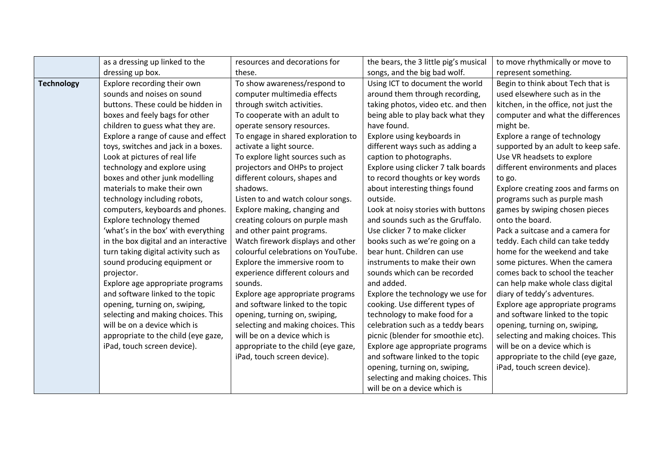|                   | as a dressing up linked to the        | resources and decorations for       | the bears, the 3 little pig's musical | to move rhythmically or move to      |
|-------------------|---------------------------------------|-------------------------------------|---------------------------------------|--------------------------------------|
|                   | dressing up box.                      | these.                              | songs, and the big bad wolf.          | represent something.                 |
| <b>Technology</b> | Explore recording their own           | To show awareness/respond to        | Using ICT to document the world       | Begin to think about Tech that is    |
|                   | sounds and noises on sound            | computer multimedia effects         | around them through recording,        | used elsewhere such as in the        |
|                   | buttons. These could be hidden in     | through switch activities.          | taking photos, video etc. and then    | kitchen, in the office, not just the |
|                   | boxes and feely bags for other        | To cooperate with an adult to       | being able to play back what they     | computer and what the differences    |
|                   | children to guess what they are.      | operate sensory resources.          | have found.                           | might be.                            |
|                   | Explore a range of cause and effect   | To engage in shared exploration to  | Explore using keyboards in            | Explore a range of technology        |
|                   | toys, switches and jack in a boxes.   | activate a light source.            | different ways such as adding a       | supported by an adult to keep safe.  |
|                   | Look at pictures of real life         | To explore light sources such as    | caption to photographs.               | Use VR headsets to explore           |
|                   | technology and explore using          | projectors and OHPs to project      | Explore using clicker 7 talk boards   | different environments and places    |
|                   | boxes and other junk modelling        | different colours, shapes and       | to record thoughts or key words       | to go.                               |
|                   | materials to make their own           | shadows.                            | about interesting things found        | Explore creating zoos and farms on   |
|                   | technology including robots,          | Listen to and watch colour songs.   | outside.                              | programs such as purple mash         |
|                   | computers, keyboards and phones.      | Explore making, changing and        | Look at noisy stories with buttons    | games by swiping chosen pieces       |
|                   | Explore technology themed             | creating colours on purple mash     | and sounds such as the Gruffalo.      | onto the board.                      |
|                   | 'what's in the box' with everything   | and other paint programs.           | Use clicker 7 to make clicker         | Pack a suitcase and a camera for     |
|                   | in the box digital and an interactive | Watch firework displays and other   | books such as we're going on a        | teddy. Each child can take teddy     |
|                   | turn taking digital activity such as  | colourful celebrations on YouTube.  | bear hunt. Children can use           | home for the weekend and take        |
|                   | sound producing equipment or          | Explore the immersive room to       | instruments to make their own         | some pictures. When the camera       |
|                   | projector.                            | experience different colours and    | sounds which can be recorded          | comes back to school the teacher     |
|                   | Explore age appropriate programs      | sounds.                             | and added.                            | can help make whole class digital    |
|                   | and software linked to the topic      | Explore age appropriate programs    | Explore the technology we use for     | diary of teddy's adventures.         |
|                   | opening, turning on, swiping,         | and software linked to the topic    | cooking. Use different types of       | Explore age appropriate programs     |
|                   | selecting and making choices. This    | opening, turning on, swiping,       | technology to make food for a         | and software linked to the topic     |
|                   | will be on a device which is          | selecting and making choices. This  | celebration such as a teddy bears     | opening, turning on, swiping,        |
|                   | appropriate to the child (eye gaze,   | will be on a device which is        | picnic (blender for smoothie etc).    | selecting and making choices. This   |
|                   | iPad, touch screen device).           | appropriate to the child (eye gaze, | Explore age appropriate programs      | will be on a device which is         |
|                   |                                       | iPad, touch screen device).         | and software linked to the topic      | appropriate to the child (eye gaze,  |
|                   |                                       |                                     | opening, turning on, swiping,         | iPad, touch screen device).          |
|                   |                                       |                                     | selecting and making choices. This    |                                      |
|                   |                                       |                                     | will be on a device which is          |                                      |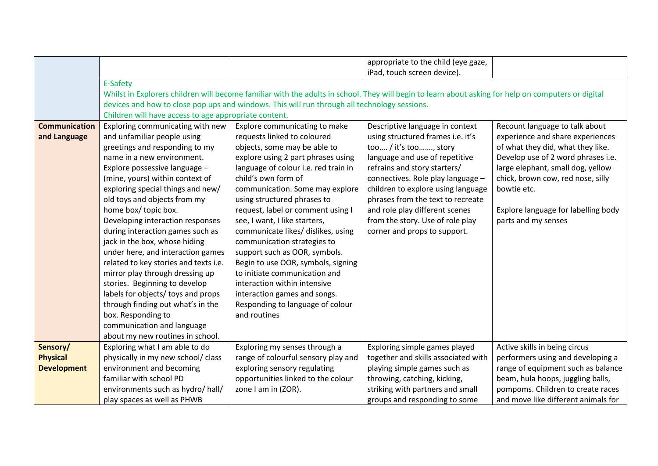|                      |                                                       |                                                                                                                                                     | appropriate to the child (eye gaze, |                                     |
|----------------------|-------------------------------------------------------|-----------------------------------------------------------------------------------------------------------------------------------------------------|-------------------------------------|-------------------------------------|
|                      |                                                       |                                                                                                                                                     | iPad, touch screen device).         |                                     |
|                      | E-Safety                                              |                                                                                                                                                     |                                     |                                     |
|                      |                                                       | Whilst in Explorers children will become familiar with the adults in school. They will begin to learn about asking for help on computers or digital |                                     |                                     |
|                      |                                                       | devices and how to close pop ups and windows. This will run through all technology sessions.                                                        |                                     |                                     |
|                      | Children will have access to age appropriate content. |                                                                                                                                                     |                                     |                                     |
| <b>Communication</b> | Exploring communicating with new                      | Explore communicating to make                                                                                                                       | Descriptive language in context     | Recount language to talk about      |
| and Language         | and unfamiliar people using                           | requests linked to coloured                                                                                                                         | using structured frames i.e. it's   | experience and share experiences    |
|                      | greetings and responding to my                        | objects, some may be able to                                                                                                                        | too / it's too, story               | of what they did, what they like.   |
|                      | name in a new environment.                            | explore using 2 part phrases using                                                                                                                  | language and use of repetitive      | Develop use of 2 word phrases i.e.  |
|                      | Explore possessive language -                         | language of colour i.e. red train in                                                                                                                | refrains and story starters/        | large elephant, small dog, yellow   |
|                      | (mine, yours) within context of                       | child's own form of                                                                                                                                 | connectives. Role play language -   | chick, brown cow, red nose, silly   |
|                      | exploring special things and new/                     | communication. Some may explore                                                                                                                     | children to explore using language  | bowtie etc.                         |
|                      | old toys and objects from my                          | using structured phrases to                                                                                                                         | phrases from the text to recreate   |                                     |
|                      | home box/ topic box.                                  | request, label or comment using I                                                                                                                   | and role play different scenes      | Explore language for labelling body |
|                      | Developing interaction responses                      | see, I want, I like starters,                                                                                                                       | from the story. Use of role play    | parts and my senses                 |
|                      | during interaction games such as                      | communicate likes/ dislikes, using                                                                                                                  | corner and props to support.        |                                     |
|                      | jack in the box, whose hiding                         | communication strategies to                                                                                                                         |                                     |                                     |
|                      | under here, and interaction games                     | support such as OOR, symbols.                                                                                                                       |                                     |                                     |
|                      | related to key stories and texts i.e.                 | Begin to use OOR, symbols, signing                                                                                                                  |                                     |                                     |
|                      | mirror play through dressing up                       | to initiate communication and                                                                                                                       |                                     |                                     |
|                      | stories. Beginning to develop                         | interaction within intensive                                                                                                                        |                                     |                                     |
|                      | labels for objects/ toys and props                    | interaction games and songs.                                                                                                                        |                                     |                                     |
|                      | through finding out what's in the                     | Responding to language of colour                                                                                                                    |                                     |                                     |
|                      | box. Responding to                                    | and routines                                                                                                                                        |                                     |                                     |
|                      | communication and language                            |                                                                                                                                                     |                                     |                                     |
|                      | about my new routines in school.                      |                                                                                                                                                     |                                     |                                     |
| Sensory/             | Exploring what I am able to do                        | Exploring my senses through a                                                                                                                       | Exploring simple games played       | Active skills in being circus       |
| <b>Physical</b>      | physically in my new school/ class                    | range of colourful sensory play and                                                                                                                 | together and skills associated with | performers using and developing a   |
| <b>Development</b>   | environment and becoming                              | exploring sensory regulating                                                                                                                        | playing simple games such as        | range of equipment such as balance  |
|                      | familiar with school PD                               | opportunities linked to the colour                                                                                                                  | throwing, catching, kicking,        | beam, hula hoops, juggling balls,   |
|                      | environments such as hydro/ hall/                     | zone I am in (ZOR).                                                                                                                                 | striking with partners and small    | pompoms. Children to create races   |
|                      | play spaces as well as PHWB                           |                                                                                                                                                     | groups and responding to some       | and move like different animals for |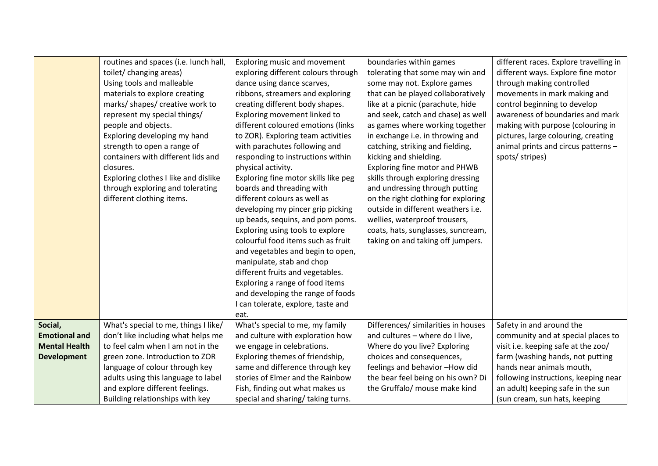|                      | routines and spaces (i.e. lunch hall, | Exploring music and movement         | boundaries within games             | different races. Explore travelling in |
|----------------------|---------------------------------------|--------------------------------------|-------------------------------------|----------------------------------------|
|                      | toilet/ changing areas)               | exploring different colours through  | tolerating that some may win and    | different ways. Explore fine motor     |
|                      | Using tools and malleable             | dance using dance scarves,           | some may not. Explore games         | through making controlled              |
|                      | materials to explore creating         | ribbons, streamers and exploring     | that can be played collaboratively  | movements in mark making and           |
|                      | marks/ shapes/ creative work to       | creating different body shapes.      | like at a picnic (parachute, hide   | control beginning to develop           |
|                      | represent my special things/          | Exploring movement linked to         | and seek, catch and chase) as well  | awareness of boundaries and mark       |
|                      | people and objects.                   | different coloured emotions (links   | as games where working together     | making with purpose (colouring in      |
|                      |                                       |                                      |                                     |                                        |
|                      | Exploring developing my hand          | to ZOR). Exploring team activities   | in exchange i.e. in throwing and    | pictures, large colouring, creating    |
|                      | strength to open a range of           | with parachutes following and        | catching, striking and fielding,    | animal prints and circus patterns -    |
|                      | containers with different lids and    | responding to instructions within    | kicking and shielding.              | spots/ stripes)                        |
|                      | closures.                             | physical activity.                   | Exploring fine motor and PHWB       |                                        |
|                      | Exploring clothes I like and dislike  | Exploring fine motor skills like peg | skills through exploring dressing   |                                        |
|                      | through exploring and tolerating      | boards and threading with            | and undressing through putting      |                                        |
|                      | different clothing items.             | different colours as well as         | on the right clothing for exploring |                                        |
|                      |                                       | developing my pincer grip picking    | outside in different weathers i.e.  |                                        |
|                      |                                       | up beads, sequins, and pom poms.     | wellies, waterproof trousers,       |                                        |
|                      |                                       | Exploring using tools to explore     | coats, hats, sunglasses, suncream,  |                                        |
|                      |                                       | colourful food items such as fruit   | taking on and taking off jumpers.   |                                        |
|                      |                                       | and vegetables and begin to open,    |                                     |                                        |
|                      |                                       | manipulate, stab and chop            |                                     |                                        |
|                      |                                       | different fruits and vegetables.     |                                     |                                        |
|                      |                                       | Exploring a range of food items      |                                     |                                        |
|                      |                                       | and developing the range of foods    |                                     |                                        |
|                      |                                       | I can tolerate, explore, taste and   |                                     |                                        |
|                      |                                       | eat.                                 |                                     |                                        |
| Social,              | What's special to me, things I like/  | What's special to me, my family      | Differences/ similarities in houses | Safety in and around the               |
| <b>Emotional and</b> | don't like including what helps me    | and culture with exploration how     | and cultures - where do I live,     | community and at special places to     |
| <b>Mental Health</b> | to feel calm when I am not in the     | we engage in celebrations.           | Where do you live? Exploring        | visit i.e. keeping safe at the zoo/    |
| <b>Development</b>   | green zone. Introduction to ZOR       | Exploring themes of friendship,      | choices and consequences,           | farm (washing hands, not putting       |
|                      | language of colour through key        | same and difference through key      | feelings and behavior-How did       | hands near animals mouth,              |
|                      | adults using this language to label   | stories of Elmer and the Rainbow     | the bear feel being on his own? Di  | following instructions, keeping near   |
|                      | and explore different feelings.       | Fish, finding out what makes us      | the Gruffalo/ mouse make kind       | an adult) keeping safe in the sun      |
|                      | Building relationships with key       | special and sharing/ taking turns.   |                                     | (sun cream, sun hats, keeping          |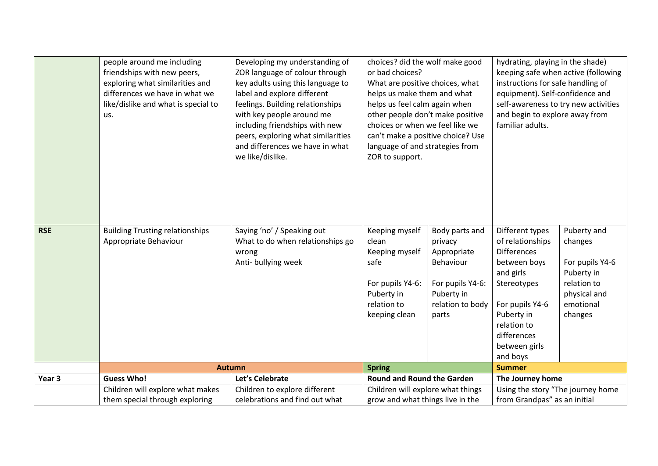|                   | people around me including<br>friendships with new peers,<br>exploring what similarities and<br>differences we have in what we<br>like/dislike and what is special to<br>us. | Developing my understanding of<br>ZOR language of colour through<br>key adults using this language to<br>label and explore different<br>feelings. Building relationships<br>with key people around me<br>including friendships with new<br>peers, exploring what similarities<br>and differences we have in what<br>we like/dislike. | choices? did the wolf make good<br>or bad choices?<br>What are positive choices, what<br>helps us make them and what<br>helps us feel calm again when<br>other people don't make positive<br>choices or when we feel like we<br>can't make a positive choice? Use<br>language of and strategies from<br>ZOR to support. |                                                                                                                      | hydrating, playing in the shade)<br>keeping safe when active (following<br>instructions for safe handling of<br>equipment). Self-confidence and<br>self-awareness to try new activities<br>and begin to explore away from<br>familiar adults. |                                                                                                                |
|-------------------|------------------------------------------------------------------------------------------------------------------------------------------------------------------------------|--------------------------------------------------------------------------------------------------------------------------------------------------------------------------------------------------------------------------------------------------------------------------------------------------------------------------------------|-------------------------------------------------------------------------------------------------------------------------------------------------------------------------------------------------------------------------------------------------------------------------------------------------------------------------|----------------------------------------------------------------------------------------------------------------------|-----------------------------------------------------------------------------------------------------------------------------------------------------------------------------------------------------------------------------------------------|----------------------------------------------------------------------------------------------------------------|
| <b>RSE</b>        | <b>Building Trusting relationships</b><br>Appropriate Behaviour                                                                                                              | Saying 'no' / Speaking out<br>What to do when relationships go<br>wrong<br>Anti- bullying week                                                                                                                                                                                                                                       | Keeping myself<br>clean<br>Keeping myself<br>safe<br>For pupils Y4-6:<br>Puberty in<br>relation to<br>keeping clean                                                                                                                                                                                                     | Body parts and<br>privacy<br>Appropriate<br>Behaviour<br>For pupils Y4-6:<br>Puberty in<br>relation to body<br>parts | Different types<br>of relationships<br><b>Differences</b><br>between boys<br>and girls<br>Stereotypes<br>For pupils Y4-6<br>Puberty in<br>relation to<br>differences<br>between girls<br>and boys                                             | Puberty and<br>changes<br>For pupils Y4-6<br>Puberty in<br>relation to<br>physical and<br>emotional<br>changes |
|                   | <b>Autumn</b>                                                                                                                                                                |                                                                                                                                                                                                                                                                                                                                      | <b>Spring</b>                                                                                                                                                                                                                                                                                                           |                                                                                                                      | <b>Summer</b>                                                                                                                                                                                                                                 |                                                                                                                |
| Year <sub>3</sub> | <b>Guess Who!</b>                                                                                                                                                            | Let's Celebrate                                                                                                                                                                                                                                                                                                                      | <b>Round and Round the Garden</b>                                                                                                                                                                                                                                                                                       |                                                                                                                      | The Journey home                                                                                                                                                                                                                              |                                                                                                                |
|                   | Children will explore what makes                                                                                                                                             | Children to explore different                                                                                                                                                                                                                                                                                                        | Children will explore what things                                                                                                                                                                                                                                                                                       |                                                                                                                      | Using the story "The journey home                                                                                                                                                                                                             |                                                                                                                |
|                   | them special through exploring                                                                                                                                               | celebrations and find out what                                                                                                                                                                                                                                                                                                       | grow and what things live in the                                                                                                                                                                                                                                                                                        |                                                                                                                      | from Grandpas" as an initial                                                                                                                                                                                                                  |                                                                                                                |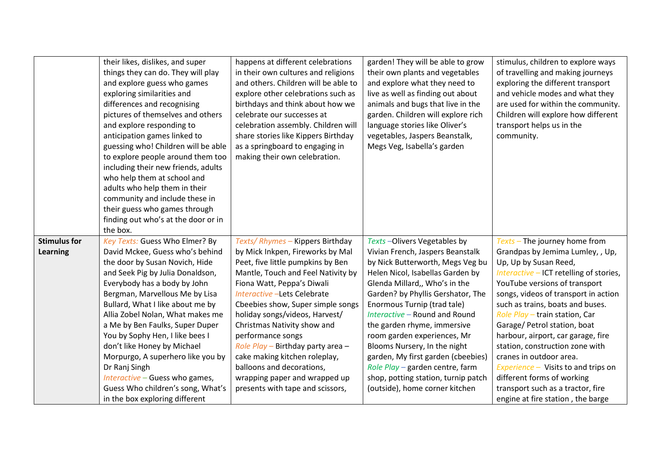|                                        | their likes, dislikes, and super<br>things they can do. They will play<br>and explore guess who games<br>exploring similarities and<br>differences and recognising<br>pictures of themselves and others<br>and explore responding to<br>anticipation games linked to<br>guessing who! Children will be able<br>to explore people around them too<br>including their new friends, adults<br>who help them at school and<br>adults who help them in their<br>community and include these in<br>their guess who games through<br>finding out who's at the door or in<br>the box. | happens at different celebrations<br>in their own cultures and religions<br>and others. Children will be able to<br>explore other celebrations such as<br>birthdays and think about how we<br>celebrate our successes at<br>celebration assembly. Children will<br>share stories like Kippers Birthday<br>as a springboard to engaging in<br>making their own celebration. | garden! They will be able to grow<br>their own plants and vegetables<br>and explore what they need to<br>live as well as finding out about<br>animals and bugs that live in the<br>garden. Children will explore rich<br>language stories like Oliver's<br>vegetables, Jaspers Beanstalk,<br>Megs Veg, Isabella's garden | stimulus, children to explore ways<br>of travelling and making journeys<br>exploring the different transport<br>and vehicle modes and what they<br>are used for within the community.<br>Children will explore how different<br>transport helps us in the<br>community. |
|----------------------------------------|-------------------------------------------------------------------------------------------------------------------------------------------------------------------------------------------------------------------------------------------------------------------------------------------------------------------------------------------------------------------------------------------------------------------------------------------------------------------------------------------------------------------------------------------------------------------------------|----------------------------------------------------------------------------------------------------------------------------------------------------------------------------------------------------------------------------------------------------------------------------------------------------------------------------------------------------------------------------|--------------------------------------------------------------------------------------------------------------------------------------------------------------------------------------------------------------------------------------------------------------------------------------------------------------------------|-------------------------------------------------------------------------------------------------------------------------------------------------------------------------------------------------------------------------------------------------------------------------|
| <b>Stimulus for</b><br><b>Learning</b> | Key Texts: Guess Who Elmer? By<br>David Mckee, Guess who's behind                                                                                                                                                                                                                                                                                                                                                                                                                                                                                                             | Texts/Rhymes-Kippers Birthday<br>by Mick Inkpen, Fireworks by Mal                                                                                                                                                                                                                                                                                                          | Texts-Olivers Vegetables by<br>Vivian French, Jaspers Beanstalk                                                                                                                                                                                                                                                          | Texts - The journey home from<br>Grandpas by Jemima Lumley,, Up,                                                                                                                                                                                                        |
|                                        | the door by Susan Novich, Hide                                                                                                                                                                                                                                                                                                                                                                                                                                                                                                                                                | Peet, five little pumpkins by Ben                                                                                                                                                                                                                                                                                                                                          | by Nick Butterworth, Megs Veg bu                                                                                                                                                                                                                                                                                         | Up, Up by Susan Reed,                                                                                                                                                                                                                                                   |
|                                        | and Seek Pig by Julia Donaldson,                                                                                                                                                                                                                                                                                                                                                                                                                                                                                                                                              | Mantle, Touch and Feel Nativity by                                                                                                                                                                                                                                                                                                                                         | Helen Nicol, Isabellas Garden by                                                                                                                                                                                                                                                                                         | Interactive - ICT retelling of stories,                                                                                                                                                                                                                                 |
|                                        | Everybody has a body by John                                                                                                                                                                                                                                                                                                                                                                                                                                                                                                                                                  | Fiona Watt, Peppa's Diwali<br>Interactive - Lets Celebrate                                                                                                                                                                                                                                                                                                                 | Glenda Millard,, Who's in the                                                                                                                                                                                                                                                                                            | YouTube versions of transport                                                                                                                                                                                                                                           |
|                                        | Bergman, Marvellous Me by Lisa<br>Bullard, What I like about me by                                                                                                                                                                                                                                                                                                                                                                                                                                                                                                            | Cbeebies show, Super simple songs                                                                                                                                                                                                                                                                                                                                          | Garden? by Phyllis Gershator, The<br>Enormous Turnip (trad tale)                                                                                                                                                                                                                                                         | songs, videos of transport in action<br>such as trains, boats and buses.                                                                                                                                                                                                |
|                                        | Allia Zobel Nolan, What makes me                                                                                                                                                                                                                                                                                                                                                                                                                                                                                                                                              | holiday songs/videos, Harvest/                                                                                                                                                                                                                                                                                                                                             | Interactive - Round and Round                                                                                                                                                                                                                                                                                            | Role Play - train station, Car                                                                                                                                                                                                                                          |
|                                        | a Me by Ben Faulks, Super Duper                                                                                                                                                                                                                                                                                                                                                                                                                                                                                                                                               | Christmas Nativity show and                                                                                                                                                                                                                                                                                                                                                | the garden rhyme, immersive                                                                                                                                                                                                                                                                                              | Garage/ Petrol station, boat                                                                                                                                                                                                                                            |
|                                        | You by Sophy Hen, I like bees I                                                                                                                                                                                                                                                                                                                                                                                                                                                                                                                                               | performance songs                                                                                                                                                                                                                                                                                                                                                          | room garden experiences, Mr                                                                                                                                                                                                                                                                                              | harbour, airport, car garage, fire                                                                                                                                                                                                                                      |
|                                        | don't like Honey by Michael                                                                                                                                                                                                                                                                                                                                                                                                                                                                                                                                                   | Role Play - Birthday party area -                                                                                                                                                                                                                                                                                                                                          | Blooms Nursery, In the night                                                                                                                                                                                                                                                                                             | station, construction zone with                                                                                                                                                                                                                                         |
|                                        | Morpurgo, A superhero like you by                                                                                                                                                                                                                                                                                                                                                                                                                                                                                                                                             | cake making kitchen roleplay,                                                                                                                                                                                                                                                                                                                                              | garden, My first garden (cbeebies)                                                                                                                                                                                                                                                                                       | cranes in outdoor area.                                                                                                                                                                                                                                                 |
|                                        | Dr Ranj Singh                                                                                                                                                                                                                                                                                                                                                                                                                                                                                                                                                                 | balloons and decorations,                                                                                                                                                                                                                                                                                                                                                  | Role Play - garden centre, farm                                                                                                                                                                                                                                                                                          | Experience - Visits to and trips on                                                                                                                                                                                                                                     |
|                                        | Interactive - Guess who games,                                                                                                                                                                                                                                                                                                                                                                                                                                                                                                                                                | wrapping paper and wrapped up                                                                                                                                                                                                                                                                                                                                              | shop, potting station, turnip patch                                                                                                                                                                                                                                                                                      | different forms of working                                                                                                                                                                                                                                              |
|                                        | Guess Who children's song, What's                                                                                                                                                                                                                                                                                                                                                                                                                                                                                                                                             | presents with tape and scissors,                                                                                                                                                                                                                                                                                                                                           | (outside), home corner kitchen                                                                                                                                                                                                                                                                                           | transport such as a tractor, fire                                                                                                                                                                                                                                       |
|                                        | in the box exploring different                                                                                                                                                                                                                                                                                                                                                                                                                                                                                                                                                |                                                                                                                                                                                                                                                                                                                                                                            |                                                                                                                                                                                                                                                                                                                          | engine at fire station, the barge                                                                                                                                                                                                                                       |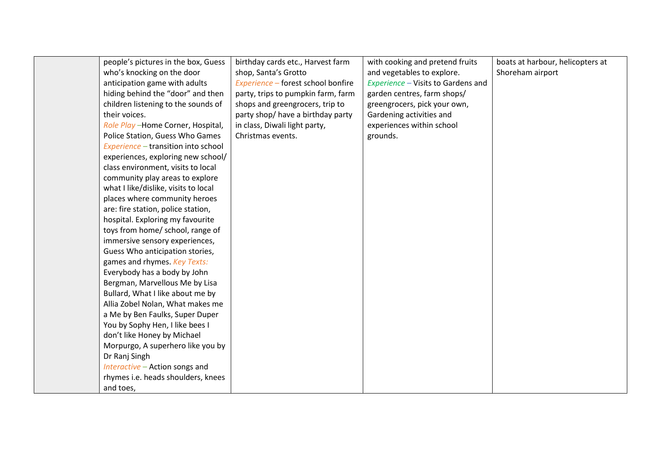| people's pictures in the box, Guess  | birthday cards etc., Harvest farm  | with cooking and pretend fruits    | boats at harbour, helicopters at |
|--------------------------------------|------------------------------------|------------------------------------|----------------------------------|
| who's knocking on the door           | shop, Santa's Grotto               | and vegetables to explore.         | Shoreham airport                 |
| anticipation game with adults        | Experience - forest school bonfire | Experience - Visits to Gardens and |                                  |
| hiding behind the "door" and then    | party, trips to pumpkin farm, farm | garden centres, farm shops/        |                                  |
| children listening to the sounds of  | shops and greengrocers, trip to    | greengrocers, pick your own,       |                                  |
| their voices.                        | party shop/ have a birthday party  | Gardening activities and           |                                  |
| Role Play -Home Corner, Hospital,    | in class, Diwali light party,      | experiences within school          |                                  |
| Police Station, Guess Who Games      | Christmas events.                  | grounds.                           |                                  |
| Experience - transition into school  |                                    |                                    |                                  |
| experiences, exploring new school/   |                                    |                                    |                                  |
| class environment, visits to local   |                                    |                                    |                                  |
| community play areas to explore      |                                    |                                    |                                  |
| what I like/dislike, visits to local |                                    |                                    |                                  |
| places where community heroes        |                                    |                                    |                                  |
| are: fire station, police station,   |                                    |                                    |                                  |
| hospital. Exploring my favourite     |                                    |                                    |                                  |
| toys from home/ school, range of     |                                    |                                    |                                  |
| immersive sensory experiences,       |                                    |                                    |                                  |
| Guess Who anticipation stories,      |                                    |                                    |                                  |
| games and rhymes. Key Texts:         |                                    |                                    |                                  |
| Everybody has a body by John         |                                    |                                    |                                  |
| Bergman, Marvellous Me by Lisa       |                                    |                                    |                                  |
| Bullard, What I like about me by     |                                    |                                    |                                  |
| Allia Zobel Nolan, What makes me     |                                    |                                    |                                  |
| a Me by Ben Faulks, Super Duper      |                                    |                                    |                                  |
| You by Sophy Hen, I like bees I      |                                    |                                    |                                  |
| don't like Honey by Michael          |                                    |                                    |                                  |
| Morpurgo, A superhero like you by    |                                    |                                    |                                  |
| Dr Ranj Singh                        |                                    |                                    |                                  |
| Interactive - Action songs and       |                                    |                                    |                                  |
| rhymes i.e. heads shoulders, knees   |                                    |                                    |                                  |
| and toes,                            |                                    |                                    |                                  |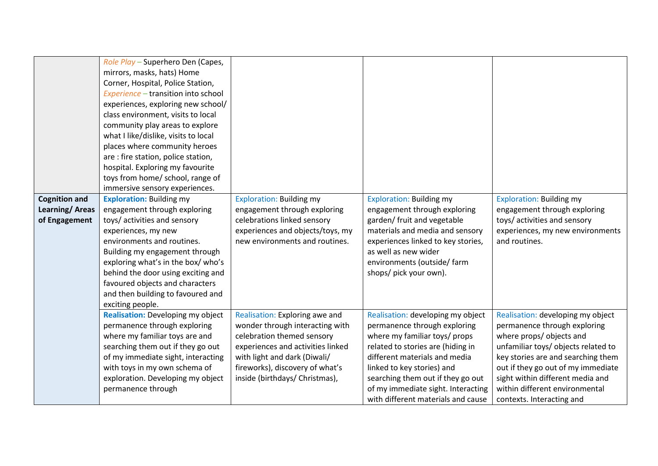| <b>Cognition and</b><br><b>Learning/Areas</b><br>of Engagement | Role Play - Superhero Den (Capes,<br>mirrors, masks, hats) Home<br>Corner, Hospital, Police Station,<br>Experience - transition into school<br>experiences, exploring new school/<br>class environment, visits to local<br>community play areas to explore<br>what I like/dislike, visits to local<br>places where community heroes<br>are : fire station, police station,<br>hospital. Exploring my favourite<br>toys from home/ school, range of<br>immersive sensory experiences.<br><b>Exploration: Building my</b><br>engagement through exploring<br>toys/activities and sensory<br>experiences, my new<br>environments and routines.<br>Building my engagement through<br>exploring what's in the box/ who's | <b>Exploration: Building my</b><br>engagement through exploring<br>celebrations linked sensory<br>experiences and objects/toys, my<br>new environments and routines.                                                                      | <b>Exploration: Building my</b><br>engagement through exploring<br>garden/ fruit and vegetable<br>materials and media and sensory<br>experiences linked to key stories,<br>as well as new wider<br>environments (outside/ farm                                                                                                                    | <b>Exploration: Building my</b><br>engagement through exploring<br>toys/ activities and sensory<br>experiences, my new environments<br>and routines.                                                                                                                                                                |
|----------------------------------------------------------------|---------------------------------------------------------------------------------------------------------------------------------------------------------------------------------------------------------------------------------------------------------------------------------------------------------------------------------------------------------------------------------------------------------------------------------------------------------------------------------------------------------------------------------------------------------------------------------------------------------------------------------------------------------------------------------------------------------------------|-------------------------------------------------------------------------------------------------------------------------------------------------------------------------------------------------------------------------------------------|---------------------------------------------------------------------------------------------------------------------------------------------------------------------------------------------------------------------------------------------------------------------------------------------------------------------------------------------------|---------------------------------------------------------------------------------------------------------------------------------------------------------------------------------------------------------------------------------------------------------------------------------------------------------------------|
|                                                                | behind the door using exciting and<br>favoured objects and characters<br>and then building to favoured and<br>exciting people.<br><b>Realisation: Developing my object</b><br>permanence through exploring<br>where my familiar toys are and<br>searching them out if they go out<br>of my immediate sight, interacting<br>with toys in my own schema of<br>exploration. Developing my object<br>permanence through                                                                                                                                                                                                                                                                                                 | Realisation: Exploring awe and<br>wonder through interacting with<br>celebration themed sensory<br>experiences and activities linked<br>with light and dark (Diwali/<br>fireworks), discovery of what's<br>inside (birthdays/ Christmas), | shops/ pick your own).<br>Realisation: developing my object<br>permanence through exploring<br>where my familiar toys/ props<br>related to stories are (hiding in<br>different materials and media<br>linked to key stories) and<br>searching them out if they go out<br>of my immediate sight. Interacting<br>with different materials and cause | Realisation: developing my object<br>permanence through exploring<br>where props/ objects and<br>unfamiliar toys/ objects related to<br>key stories are and searching them<br>out if they go out of my immediate<br>sight within different media and<br>within different environmental<br>contexts. Interacting and |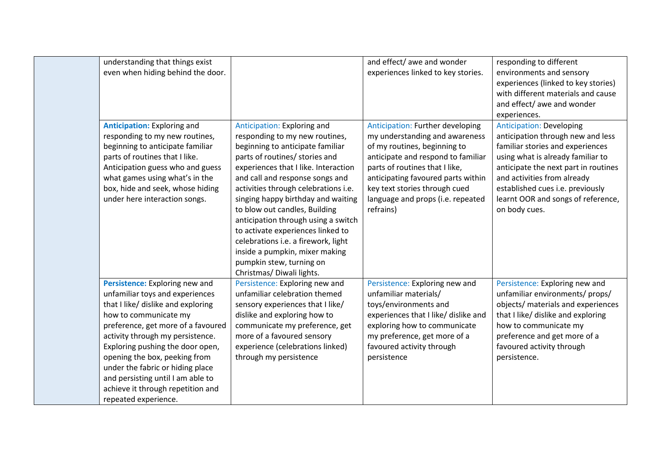| understanding that things exist<br>even when hiding behind the door.                                                                                                                                                                                                                                                                                                                                                  |                                                                                                                                                                                                                                                                                                                                                                                                                                                                                                                                            | and effect/ awe and wonder<br>experiences linked to key stories.                                                                                                                                                                                                                                    | responding to different<br>environments and sensory<br>experiences (linked to key stories)<br>with different materials and cause                                                                                                                                                                                                                              |
|-----------------------------------------------------------------------------------------------------------------------------------------------------------------------------------------------------------------------------------------------------------------------------------------------------------------------------------------------------------------------------------------------------------------------|--------------------------------------------------------------------------------------------------------------------------------------------------------------------------------------------------------------------------------------------------------------------------------------------------------------------------------------------------------------------------------------------------------------------------------------------------------------------------------------------------------------------------------------------|-----------------------------------------------------------------------------------------------------------------------------------------------------------------------------------------------------------------------------------------------------------------------------------------------------|---------------------------------------------------------------------------------------------------------------------------------------------------------------------------------------------------------------------------------------------------------------------------------------------------------------------------------------------------------------|
| <b>Anticipation:</b> Exploring and<br>responding to my new routines,<br>beginning to anticipate familiar<br>parts of routines that I like.<br>Anticipation guess who and guess<br>what games using what's in the<br>box, hide and seek, whose hiding<br>under here interaction songs.                                                                                                                                 | Anticipation: Exploring and<br>responding to my new routines,<br>beginning to anticipate familiar<br>parts of routines/ stories and<br>experiences that I like. Interaction<br>and call and response songs and<br>activities through celebrations i.e.<br>singing happy birthday and waiting<br>to blow out candles, Building<br>anticipation through using a switch<br>to activate experiences linked to<br>celebrations i.e. a firework, light<br>inside a pumpkin, mixer making<br>pumpkin stew, turning on<br>Christmas/Diwali lights. | Anticipation: Further developing<br>my understanding and awareness<br>of my routines, beginning to<br>anticipate and respond to familiar<br>parts of routines that I like,<br>anticipating favoured parts within<br>key text stories through cued<br>language and props (i.e. repeated<br>refrains) | and effect/ awe and wonder<br>experiences.<br><b>Anticipation: Developing</b><br>anticipation through new and less<br>familiar stories and experiences<br>using what is already familiar to<br>anticipate the next part in routines<br>and activities from already<br>established cues i.e. previously<br>learnt OOR and songs of reference,<br>on body cues. |
| Persistence: Exploring new and<br>unfamiliar toys and experiences<br>that I like/ dislike and exploring<br>how to communicate my<br>preference, get more of a favoured<br>activity through my persistence.<br>Exploring pushing the door open,<br>opening the box, peeking from<br>under the fabric or hiding place<br>and persisting until I am able to<br>achieve it through repetition and<br>repeated experience. | Persistence: Exploring new and<br>unfamiliar celebration themed<br>sensory experiences that I like/<br>dislike and exploring how to<br>communicate my preference, get<br>more of a favoured sensory<br>experience (celebrations linked)<br>through my persistence                                                                                                                                                                                                                                                                          | Persistence: Exploring new and<br>unfamiliar materials/<br>toys/environments and<br>experiences that I like/ dislike and<br>exploring how to communicate<br>my preference, get more of a<br>favoured activity through<br>persistence                                                                | Persistence: Exploring new and<br>unfamiliar environments/ props/<br>objects/ materials and experiences<br>that I like/ dislike and exploring<br>how to communicate my<br>preference and get more of a<br>favoured activity through<br>persistence.                                                                                                           |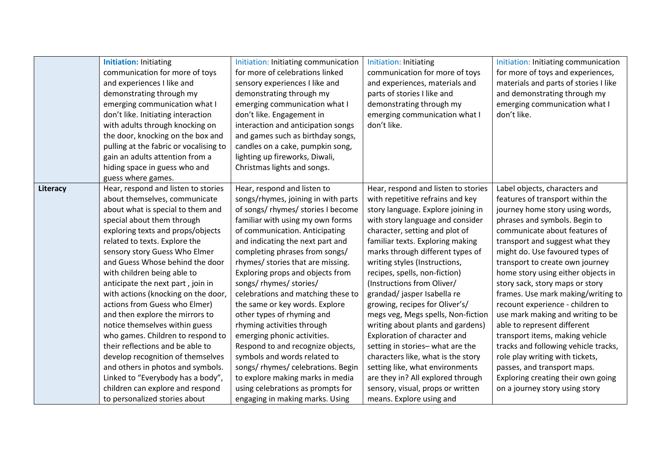|          | <b>Initiation: Initiating</b>          | Initiation: Initiating communication | <b>Initiation: Initiating</b>       | Initiation: Initiating communication  |
|----------|----------------------------------------|--------------------------------------|-------------------------------------|---------------------------------------|
|          | communication for more of toys         | for more of celebrations linked      | communication for more of toys      | for more of toys and experiences,     |
|          | and experiences I like and             | sensory experiences I like and       | and experiences, materials and      | materials and parts of stories I like |
|          | demonstrating through my               | demonstrating through my             | parts of stories I like and         | and demonstrating through my          |
|          | emerging communication what I          | emerging communication what I        | demonstrating through my            | emerging communication what I         |
|          | don't like. Initiating interaction     | don't like. Engagement in            | emerging communication what I       | don't like.                           |
|          | with adults through knocking on        | interaction and anticipation songs   | don't like.                         |                                       |
|          | the door, knocking on the box and      | and games such as birthday songs,    |                                     |                                       |
|          | pulling at the fabric or vocalising to | candles on a cake, pumpkin song,     |                                     |                                       |
|          | gain an adults attention from a        | lighting up fireworks, Diwali,       |                                     |                                       |
|          | hiding space in guess who and          | Christmas lights and songs.          |                                     |                                       |
|          | guess where games.                     |                                      |                                     |                                       |
| Literacy | Hear, respond and listen to stories    | Hear, respond and listen to          | Hear, respond and listen to stories | Label objects, characters and         |
|          | about themselves, communicate          | songs/rhymes, joining in with parts  | with repetitive refrains and key    | features of transport within the      |
|          | about what is special to them and      | of songs/ rhymes/ stories I become   | story language. Explore joining in  | journey home story using words,       |
|          | special about them through             | familiar with using my own forms     | with story language and consider    | phrases and symbols. Begin to         |
|          | exploring texts and props/objects      | of communication. Anticipating       | character, setting and plot of      | communicate about features of         |
|          | related to texts. Explore the          | and indicating the next part and     | familiar texts. Exploring making    | transport and suggest what they       |
|          | sensory story Guess Who Elmer          | completing phrases from songs/       | marks through different types of    | might do. Use favoured types of       |
|          | and Guess Whose behind the door        | rhymes/ stories that are missing.    | writing styles (Instructions,       | transport to create own journey       |
|          | with children being able to            | Exploring props and objects from     | recipes, spells, non-fiction)       | home story using either objects in    |
|          | anticipate the next part, join in      | songs/ rhymes/ stories/              | (Instructions from Oliver/          | story sack, story maps or story       |
|          | with actions (knocking on the door,    | celebrations and matching these to   | grandad/ jasper Isabella re         | frames. Use mark making/writing to    |
|          | actions from Guess who Elmer)          | the same or key words. Explore       | growing, recipes for Oliver's/      | recount experience - children to      |
|          | and then explore the mirrors to        | other types of rhyming and           | megs veg, Megs spells, Non-fiction  | use mark making and writing to be     |
|          | notice themselves within guess         | rhyming activities through           | writing about plants and gardens)   | able to represent different           |
|          | who games. Children to respond to      | emerging phonic activities.          | Exploration of character and        | transport items, making vehicle       |
|          | their reflections and be able to       | Respond to and recognize objects,    | setting in stories-what are the     | tracks and following vehicle tracks,  |
|          | develop recognition of themselves      | symbols and words related to         | characters like, what is the story  | role play writing with tickets,       |
|          | and others in photos and symbols.      | songs/ rhymes/ celebrations. Begin   | setting like, what environments     | passes, and transport maps.           |
|          | Linked to "Everybody has a body",      | to explore making marks in media     | are they in? All explored through   | Exploring creating their own going    |
|          | children can explore and respond       | using celebrations as prompts for    | sensory, visual, props or written   | on a journey story using story        |
|          | to personalized stories about          | engaging in making marks. Using      | means. Explore using and            |                                       |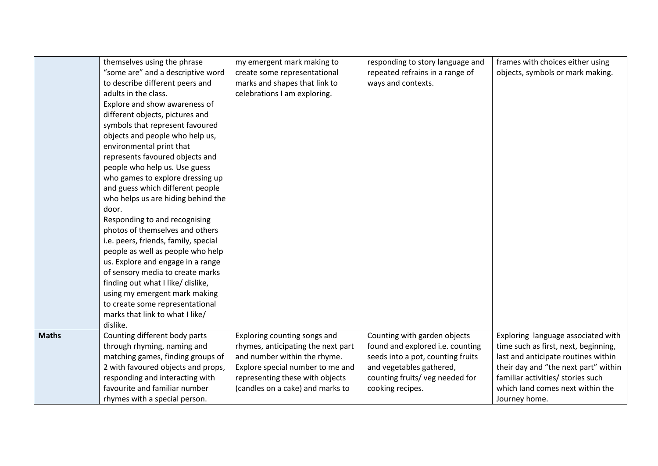|              | themselves using the phrase          | my emergent mark making to         | responding to story language and  | frames with choices either using     |
|--------------|--------------------------------------|------------------------------------|-----------------------------------|--------------------------------------|
|              | "some are" and a descriptive word    | create some representational       | repeated refrains in a range of   | objects, symbols or mark making.     |
|              | to describe different peers and      | marks and shapes that link to      | ways and contexts.                |                                      |
|              | adults in the class.                 | celebrations I am exploring.       |                                   |                                      |
|              | Explore and show awareness of        |                                    |                                   |                                      |
|              | different objects, pictures and      |                                    |                                   |                                      |
|              | symbols that represent favoured      |                                    |                                   |                                      |
|              | objects and people who help us,      |                                    |                                   |                                      |
|              | environmental print that             |                                    |                                   |                                      |
|              | represents favoured objects and      |                                    |                                   |                                      |
|              | people who help us. Use guess        |                                    |                                   |                                      |
|              | who games to explore dressing up     |                                    |                                   |                                      |
|              | and guess which different people     |                                    |                                   |                                      |
|              | who helps us are hiding behind the   |                                    |                                   |                                      |
|              | door.                                |                                    |                                   |                                      |
|              | Responding to and recognising        |                                    |                                   |                                      |
|              | photos of themselves and others      |                                    |                                   |                                      |
|              | i.e. peers, friends, family, special |                                    |                                   |                                      |
|              | people as well as people who help    |                                    |                                   |                                      |
|              | us. Explore and engage in a range    |                                    |                                   |                                      |
|              | of sensory media to create marks     |                                    |                                   |                                      |
|              | finding out what I like/ dislike,    |                                    |                                   |                                      |
|              | using my emergent mark making        |                                    |                                   |                                      |
|              | to create some representational      |                                    |                                   |                                      |
|              | marks that link to what I like/      |                                    |                                   |                                      |
|              | dislike.                             |                                    |                                   |                                      |
| <b>Maths</b> | Counting different body parts        | Exploring counting songs and       | Counting with garden objects      | Exploring language associated with   |
|              | through rhyming, naming and          | rhymes, anticipating the next part | found and explored i.e. counting  | time such as first, next, beginning, |
|              | matching games, finding groups of    | and number within the rhyme.       | seeds into a pot, counting fruits | last and anticipate routines within  |
|              | 2 with favoured objects and props,   | Explore special number to me and   | and vegetables gathered,          | their day and "the next part" within |
|              | responding and interacting with      | representing these with objects    | counting fruits/ veg needed for   | familiar activities/ stories such    |
|              | favourite and familiar number        | (candles on a cake) and marks to   | cooking recipes.                  | which land comes next within the     |
|              | rhymes with a special person.        |                                    |                                   | Journey home.                        |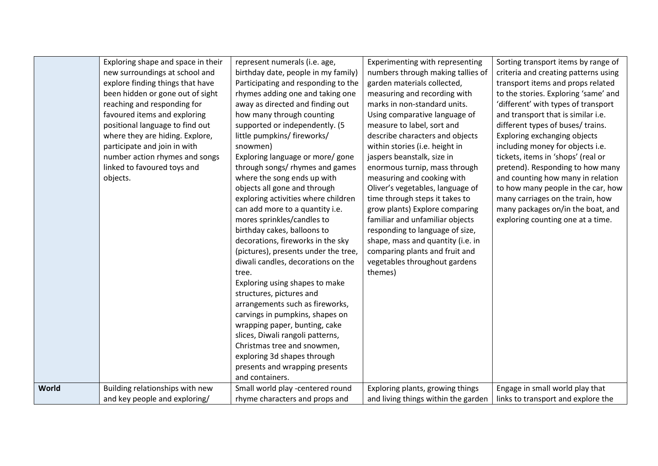|       | Exploring shape and space in their | represent numerals (i.e. age,        | Experimenting with representing     | Sorting transport items by range of  |
|-------|------------------------------------|--------------------------------------|-------------------------------------|--------------------------------------|
|       | new surroundings at school and     | birthday date, people in my family)  | numbers through making tallies of   | criteria and creating patterns using |
|       | explore finding things that have   | Participating and responding to the  | garden materials collected,         | transport items and props related    |
|       | been hidden or gone out of sight   | rhymes adding one and taking one     | measuring and recording with        | to the stories. Exploring 'same' and |
|       | reaching and responding for        | away as directed and finding out     | marks in non-standard units.        | 'different' with types of transport  |
|       | favoured items and exploring       | how many through counting            | Using comparative language of       | and transport that is similar i.e.   |
|       | positional language to find out    | supported or independently. (5       | measure to label, sort and          | different types of buses/ trains.    |
|       | where they are hiding. Explore,    | little pumpkins/ fireworks/          | describe characters and objects     | Exploring exchanging objects         |
|       | participate and join in with       | snowmen)                             | within stories (i.e. height in      | including money for objects i.e.     |
|       | number action rhymes and songs     | Exploring language or more/ gone     | jaspers beanstalk, size in          | tickets, items in 'shops' (real or   |
|       | linked to favoured toys and        | through songs/ rhymes and games      | enormous turnip, mass through       | pretend). Responding to how many     |
|       | objects.                           | where the song ends up with          | measuring and cooking with          | and counting how many in relation    |
|       |                                    | objects all gone and through         | Oliver's vegetables, language of    | to how many people in the car, how   |
|       |                                    | exploring activities where children  | time through steps it takes to      | many carriages on the train, how     |
|       |                                    | can add more to a quantity i.e.      | grow plants) Explore comparing      | many packages on/in the boat, and    |
|       |                                    | mores sprinkles/candles to           | familiar and unfamiliar objects     | exploring counting one at a time.    |
|       |                                    | birthday cakes, balloons to          | responding to language of size,     |                                      |
|       |                                    | decorations, fireworks in the sky    | shape, mass and quantity (i.e. in   |                                      |
|       |                                    | (pictures), presents under the tree, | comparing plants and fruit and      |                                      |
|       |                                    | diwali candles, decorations on the   | vegetables throughout gardens       |                                      |
|       |                                    | tree.                                | themes)                             |                                      |
|       |                                    | Exploring using shapes to make       |                                     |                                      |
|       |                                    | structures, pictures and             |                                     |                                      |
|       |                                    | arrangements such as fireworks,      |                                     |                                      |
|       |                                    | carvings in pumpkins, shapes on      |                                     |                                      |
|       |                                    | wrapping paper, bunting, cake        |                                     |                                      |
|       |                                    | slices, Diwali rangoli patterns,     |                                     |                                      |
|       |                                    | Christmas tree and snowmen,          |                                     |                                      |
|       |                                    | exploring 3d shapes through          |                                     |                                      |
|       |                                    | presents and wrapping presents       |                                     |                                      |
|       |                                    | and containers.                      |                                     |                                      |
| World | Building relationships with new    | Small world play -centered round     | Exploring plants, growing things    | Engage in small world play that      |
|       | and key people and exploring/      | rhyme characters and props and       | and living things within the garden | links to transport and explore the   |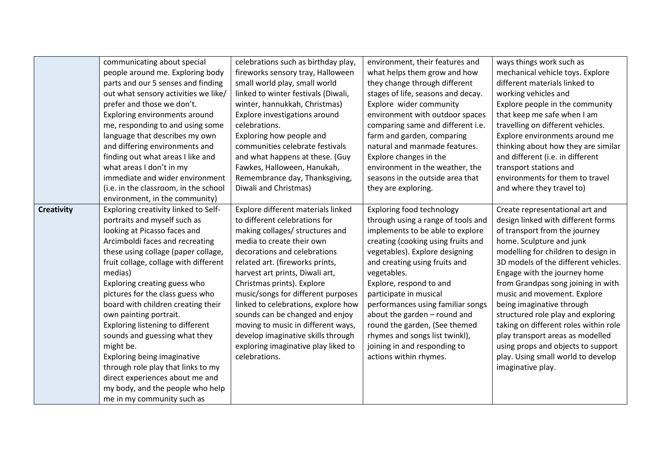|                   | communicating about special                                                                                                                                                                                                                              | celebrations such as birthday play,                                                                                              | environment, their features and                                                                                           | ways things work such as                                                                                                                                                   |
|-------------------|----------------------------------------------------------------------------------------------------------------------------------------------------------------------------------------------------------------------------------------------------------|----------------------------------------------------------------------------------------------------------------------------------|---------------------------------------------------------------------------------------------------------------------------|----------------------------------------------------------------------------------------------------------------------------------------------------------------------------|
|                   | people around me. Exploring body                                                                                                                                                                                                                         | fireworks sensory tray, Halloween                                                                                                | what helps them grow and how                                                                                              | mechanical vehicle toys. Explore                                                                                                                                           |
|                   | parts and our 5 senses and finding                                                                                                                                                                                                                       | small world play, small world                                                                                                    | they change through different                                                                                             | different materials linked to                                                                                                                                              |
|                   | out what sensory activities we like/                                                                                                                                                                                                                     | linked to winter festivals (Diwali,                                                                                              | stages of life, seasons and decay.                                                                                        | working vehicles and                                                                                                                                                       |
|                   | prefer and those we don't.                                                                                                                                                                                                                               | winter, hannukkah, Christmas)                                                                                                    | Explore wider community                                                                                                   | Explore people in the community                                                                                                                                            |
|                   | Exploring environments around                                                                                                                                                                                                                            | Explore investigations around                                                                                                    | environment with outdoor spaces                                                                                           | that keep me safe when I am                                                                                                                                                |
|                   | me, responding to and using some                                                                                                                                                                                                                         | celebrations.                                                                                                                    | comparing same and different i.e.                                                                                         | travelling on different vehicles.                                                                                                                                          |
|                   |                                                                                                                                                                                                                                                          | Exploring how people and                                                                                                         |                                                                                                                           |                                                                                                                                                                            |
|                   | language that describes my own                                                                                                                                                                                                                           |                                                                                                                                  | farm and garden, comparing                                                                                                | Explore environments around me                                                                                                                                             |
|                   | and differing environments and                                                                                                                                                                                                                           | communities celebrate festivals                                                                                                  | natural and manmade features.                                                                                             | thinking about how they are similar                                                                                                                                        |
|                   | finding out what areas I like and                                                                                                                                                                                                                        | and what happens at these. (Guy                                                                                                  | Explore changes in the                                                                                                    | and different (i.e. in different                                                                                                                                           |
|                   | what areas I don't in my                                                                                                                                                                                                                                 | Fawkes, Halloween, Hanukah,                                                                                                      | environment in the weather, the                                                                                           | transport stations and                                                                                                                                                     |
|                   | immediate and wider environment                                                                                                                                                                                                                          | Remembrance day, Thanksgiving,                                                                                                   | seasons in the outside area that                                                                                          | environments for them to travel                                                                                                                                            |
|                   | (i.e. in the classroom, in the school                                                                                                                                                                                                                    | Diwali and Christmas)                                                                                                            | they are exploring.                                                                                                       | and where they travel to)                                                                                                                                                  |
|                   | environment, in the community)                                                                                                                                                                                                                           |                                                                                                                                  |                                                                                                                           |                                                                                                                                                                            |
| <b>Creativity</b> | Exploring creativity linked to Self-                                                                                                                                                                                                                     | Explore different materials linked                                                                                               | Exploring food technology                                                                                                 | Create representational art and                                                                                                                                            |
|                   | portraits and myself such as                                                                                                                                                                                                                             | to different celebrations for                                                                                                    | through using a range of tools and                                                                                        | design linked with different forms                                                                                                                                         |
|                   | looking at Picasso faces and                                                                                                                                                                                                                             | making collages/ structures and                                                                                                  | implements to be able to explore                                                                                          | of transport from the journey                                                                                                                                              |
|                   | Arcimboldi faces and recreating                                                                                                                                                                                                                          | media to create their own                                                                                                        | creating (cooking using fruits and                                                                                        | home. Sculpture and junk                                                                                                                                                   |
|                   | these using collage (paper collage,                                                                                                                                                                                                                      | decorations and celebrations                                                                                                     | vegetables). Explore designing                                                                                            | modelling for children to design in                                                                                                                                        |
|                   | fruit collage, collage with different                                                                                                                                                                                                                    | related art. (fireworks prints,                                                                                                  | and creating using fruits and                                                                                             | 3D models of the different vehicles.                                                                                                                                       |
|                   | medias)                                                                                                                                                                                                                                                  | harvest art prints, Diwali art,                                                                                                  | vegetables.                                                                                                               | Engage with the journey home                                                                                                                                               |
|                   | Exploring creating guess who                                                                                                                                                                                                                             | Christmas prints). Explore                                                                                                       | Explore, respond to and                                                                                                   | from Grandpas song joining in with                                                                                                                                         |
|                   | pictures for the class guess who                                                                                                                                                                                                                         | music/songs for different purposes                                                                                               | participate in musical                                                                                                    | music and movement. Explore                                                                                                                                                |
|                   | board with children creating their                                                                                                                                                                                                                       | linked to celebrations, explore how                                                                                              | performances using familiar songs                                                                                         | being imaginative through                                                                                                                                                  |
|                   | own painting portrait.                                                                                                                                                                                                                                   | sounds can be changed and enjoy                                                                                                  | about the garden - round and                                                                                              | structured role play and exploring                                                                                                                                         |
|                   |                                                                                                                                                                                                                                                          |                                                                                                                                  |                                                                                                                           |                                                                                                                                                                            |
|                   |                                                                                                                                                                                                                                                          |                                                                                                                                  |                                                                                                                           |                                                                                                                                                                            |
|                   |                                                                                                                                                                                                                                                          |                                                                                                                                  |                                                                                                                           |                                                                                                                                                                            |
|                   |                                                                                                                                                                                                                                                          |                                                                                                                                  |                                                                                                                           |                                                                                                                                                                            |
|                   |                                                                                                                                                                                                                                                          |                                                                                                                                  |                                                                                                                           |                                                                                                                                                                            |
|                   |                                                                                                                                                                                                                                                          |                                                                                                                                  |                                                                                                                           |                                                                                                                                                                            |
|                   |                                                                                                                                                                                                                                                          |                                                                                                                                  |                                                                                                                           |                                                                                                                                                                            |
|                   |                                                                                                                                                                                                                                                          |                                                                                                                                  |                                                                                                                           |                                                                                                                                                                            |
|                   | Exploring listening to different<br>sounds and guessing what they<br>might be.<br>Exploring being imaginative<br>through role play that links to my<br>direct experiences about me and<br>my body, and the people who help<br>me in my community such as | moving to music in different ways,<br>develop imaginative skills through<br>exploring imaginative play liked to<br>celebrations. | round the garden, (See themed<br>rhymes and songs list twinkl),<br>joining in and responding to<br>actions within rhymes. | taking on different roles within role<br>play transport areas as modelled<br>using props and objects to support<br>play. Using small world to develop<br>imaginative play. |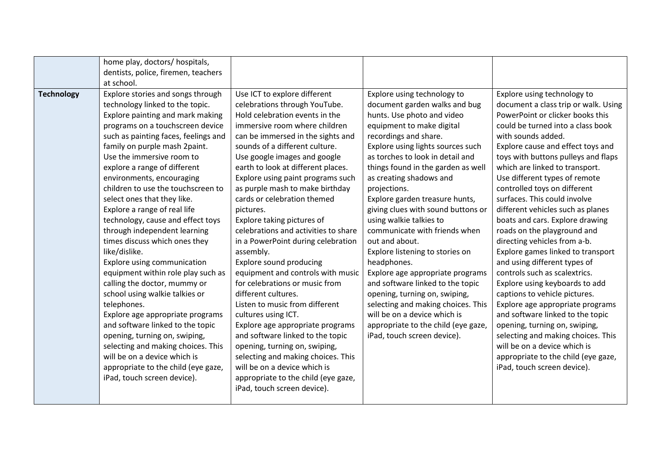|                   | home play, doctors/ hospitals,       |                                      |                                     |                                      |
|-------------------|--------------------------------------|--------------------------------------|-------------------------------------|--------------------------------------|
|                   | dentists, police, firemen, teachers  |                                      |                                     |                                      |
|                   | at school.                           |                                      |                                     |                                      |
| <b>Technology</b> | Explore stories and songs through    | Use ICT to explore different         | Explore using technology to         | Explore using technology to          |
|                   | technology linked to the topic.      | celebrations through YouTube.        | document garden walks and bug       | document a class trip or walk. Using |
|                   | Explore painting and mark making     | Hold celebration events in the       | hunts. Use photo and video          | PowerPoint or clicker books this     |
|                   | programs on a touchscreen device     | immersive room where children        | equipment to make digital           | could be turned into a class book    |
|                   | such as painting faces, feelings and | can be immersed in the sights and    | recordings and share.               | with sounds added.                   |
|                   | family on purple mash 2paint.        | sounds of a different culture.       | Explore using lights sources such   | Explore cause and effect toys and    |
|                   | Use the immersive room to            | Use google images and google         | as torches to look in detail and    | toys with buttons pulleys and flaps  |
|                   | explore a range of different         | earth to look at different places.   | things found in the garden as well  | which are linked to transport.       |
|                   | environments, encouraging            | Explore using paint programs such    | as creating shadows and             | Use different types of remote        |
|                   | children to use the touchscreen to   | as purple mash to make birthday      | projections.                        | controlled toys on different         |
|                   | select ones that they like.          | cards or celebration themed          | Explore garden treasure hunts,      | surfaces. This could involve         |
|                   | Explore a range of real life         | pictures.                            | giving clues with sound buttons or  | different vehicles such as planes    |
|                   | technology, cause and effect toys    | Explore taking pictures of           | using walkie talkies to             | boats and cars. Explore drawing      |
|                   | through independent learning         | celebrations and activities to share | communicate with friends when       | roads on the playground and          |
|                   | times discuss which ones they        | in a PowerPoint during celebration   | out and about.                      | directing vehicles from a-b.         |
|                   | like/dislike.                        | assembly.                            | Explore listening to stories on     | Explore games linked to transport    |
|                   | Explore using communication          | Explore sound producing              | headphones.                         | and using different types of         |
|                   | equipment within role play such as   | equipment and controls with music    | Explore age appropriate programs    | controls such as scalextrics.        |
|                   | calling the doctor, mummy or         | for celebrations or music from       | and software linked to the topic    | Explore using keyboards to add       |
|                   | school using walkie talkies or       | different cultures.                  | opening, turning on, swiping,       | captions to vehicle pictures.        |
|                   | telephones.                          | Listen to music from different       | selecting and making choices. This  | Explore age appropriate programs     |
|                   | Explore age appropriate programs     | cultures using ICT.                  | will be on a device which is        | and software linked to the topic     |
|                   | and software linked to the topic     | Explore age appropriate programs     | appropriate to the child (eye gaze, | opening, turning on, swiping,        |
|                   | opening, turning on, swiping,        | and software linked to the topic     | iPad, touch screen device).         | selecting and making choices. This   |
|                   | selecting and making choices. This   | opening, turning on, swiping,        |                                     | will be on a device which is         |
|                   | will be on a device which is         | selecting and making choices. This   |                                     | appropriate to the child (eye gaze,  |
|                   | appropriate to the child (eye gaze,  | will be on a device which is         |                                     | iPad, touch screen device).          |
|                   | iPad, touch screen device).          | appropriate to the child (eye gaze,  |                                     |                                      |
|                   |                                      | iPad, touch screen device).          |                                     |                                      |
|                   |                                      |                                      |                                     |                                      |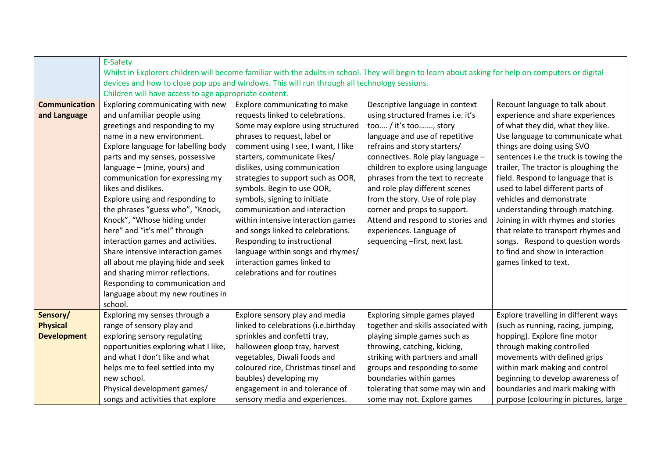|                      | E-Safety                                              |                                                                                                                                                     |                                     |                                       |  |
|----------------------|-------------------------------------------------------|-----------------------------------------------------------------------------------------------------------------------------------------------------|-------------------------------------|---------------------------------------|--|
|                      |                                                       | Whilst in Explorers children will become familiar with the adults in school. They will begin to learn about asking for help on computers or digital |                                     |                                       |  |
|                      |                                                       | devices and how to close pop ups and windows. This will run through all technology sessions.                                                        |                                     |                                       |  |
|                      | Children will have access to age appropriate content. |                                                                                                                                                     |                                     |                                       |  |
| <b>Communication</b> | Exploring communicating with new                      | Explore communicating to make                                                                                                                       | Descriptive language in context     | Recount language to talk about        |  |
| and Language         | and unfamiliar people using                           | requests linked to celebrations.                                                                                                                    | using structured frames i.e. it's   | experience and share experiences      |  |
|                      | greetings and responding to my                        | Some may explore using structured                                                                                                                   | too / it's too, story               | of what they did, what they like.     |  |
|                      | name in a new environment.                            | phrases to request, label or                                                                                                                        | language and use of repetitive      | Use language to communicate what      |  |
|                      | Explore language for labelling body                   | comment using I see, I want, I like                                                                                                                 | refrains and story starters/        | things are doing using SVO            |  |
|                      | parts and my senses, possessive                       | starters, communicate likes/                                                                                                                        | connectives. Role play language -   | sentences i.e the truck is towing the |  |
|                      | language - (mine, yours) and                          | dislikes, using communication                                                                                                                       | children to explore using language  | trailer, The tractor is ploughing the |  |
|                      | communication for expressing my                       | strategies to support such as OOR,                                                                                                                  | phrases from the text to recreate   | field. Respond to language that is    |  |
|                      | likes and dislikes.                                   | symbols. Begin to use OOR,                                                                                                                          | and role play different scenes      | used to label different parts of      |  |
|                      | Explore using and responding to                       | symbols, signing to initiate                                                                                                                        | from the story. Use of role play    | vehicles and demonstrate              |  |
|                      | the phrases "guess who", "Knock,                      | communication and interaction                                                                                                                       | corner and props to support.        | understanding through matching.       |  |
|                      | Knock", "Whose hiding under                           | within intensive interaction games                                                                                                                  | Attend and respond to stories and   | Joining in with rhymes and stories    |  |
|                      | here" and "it's me!" through                          | and songs linked to celebrations.                                                                                                                   | experiences. Language of            | that relate to transport rhymes and   |  |
|                      | interaction games and activities.                     | Responding to instructional                                                                                                                         | sequencing -first, next last.       | songs. Respond to question words      |  |
|                      | Share intensive interaction games                     | language within songs and rhymes/                                                                                                                   |                                     | to find and show in interaction       |  |
|                      | all about me playing hide and seek                    | interaction games linked to                                                                                                                         |                                     | games linked to text.                 |  |
|                      | and sharing mirror reflections.                       | celebrations and for routines                                                                                                                       |                                     |                                       |  |
|                      | Responding to communication and                       |                                                                                                                                                     |                                     |                                       |  |
|                      | language about my new routines in                     |                                                                                                                                                     |                                     |                                       |  |
|                      | school.                                               |                                                                                                                                                     |                                     |                                       |  |
| Sensory/             | Exploring my senses through a                         | Explore sensory play and media                                                                                                                      | Exploring simple games played       | Explore travelling in different ways  |  |
| <b>Physical</b>      | range of sensory play and                             | linked to celebrations (i.e.birthday                                                                                                                | together and skills associated with | (such as running, racing, jumping,    |  |
| <b>Development</b>   | exploring sensory regulating                          | sprinkles and confetti tray,                                                                                                                        | playing simple games such as        | hopping). Explore fine motor          |  |
|                      | opportunities exploring what I like,                  | halloween gloop tray, harvest                                                                                                                       | throwing, catching, kicking,        | through making controlled             |  |
|                      | and what I don't like and what                        | vegetables, Diwali foods and                                                                                                                        | striking with partners and small    | movements with defined grips          |  |
|                      | helps me to feel settled into my                      | coloured rice, Christmas tinsel and                                                                                                                 | groups and responding to some       | within mark making and control        |  |
|                      | new school.                                           | baubles) developing my                                                                                                                              | boundaries within games             | beginning to develop awareness of     |  |
|                      | Physical development games/                           | engagement in and tolerance of                                                                                                                      | tolerating that some may win and    | boundaries and mark making with       |  |
|                      | songs and activities that explore                     | sensory media and experiences.                                                                                                                      | some may not. Explore games         | purpose (colouring in pictures, large |  |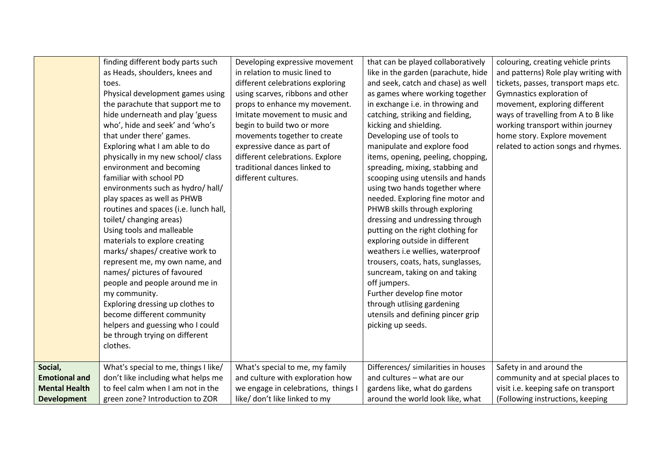|                                                                               | finding different body parts such<br>as Heads, shoulders, knees and<br>toes.<br>Physical development games using<br>the parachute that support me to<br>hide underneath and play 'guess<br>who', hide and seek' and 'who's<br>that under there' games.<br>Exploring what I am able to do<br>physically in my new school/ class<br>environment and becoming<br>familiar with school PD<br>environments such as hydro/ hall/<br>play spaces as well as PHWB<br>routines and spaces (i.e. lunch hall,<br>toilet/ changing areas)<br>Using tools and malleable<br>materials to explore creating<br>marks/ shapes/ creative work to<br>represent me, my own name, and<br>names/ pictures of favoured<br>people and people around me in<br>my community.<br>Exploring dressing up clothes to<br>become different community<br>helpers and guessing who I could<br>be through trying on different | Developing expressive movement<br>in relation to music lined to<br>different celebrations exploring<br>using scarves, ribbons and other<br>props to enhance my movement.<br>Imitate movement to music and<br>begin to build two or more<br>movements together to create<br>expressive dance as part of<br>different celebrations. Explore<br>traditional dances linked to<br>different cultures. | that can be played collaboratively<br>like in the garden (parachute, hide<br>and seek, catch and chase) as well<br>as games where working together<br>in exchange i.e. in throwing and<br>catching, striking and fielding,<br>kicking and shielding.<br>Developing use of tools to<br>manipulate and explore food<br>items, opening, peeling, chopping,<br>spreading, mixing, stabbing and<br>scooping using utensils and hands<br>using two hands together where<br>needed. Exploring fine motor and<br>PHWB skills through exploring<br>dressing and undressing through<br>putting on the right clothing for<br>exploring outside in different<br>weathers i.e wellies, waterproof<br>trousers, coats, hats, sunglasses,<br>suncream, taking on and taking<br>off jumpers.<br>Further develop fine motor<br>through utlising gardening<br>utensils and defining pincer grip<br>picking up seeds. | colouring, creating vehicle prints<br>and patterns) Role play writing with<br>tickets, passes, transport maps etc.<br>Gymnastics exploration of<br>movement, exploring different<br>ways of travelling from A to B like<br>working transport within journey<br>home story. Explore movement<br>related to action songs and rhymes. |
|-------------------------------------------------------------------------------|--------------------------------------------------------------------------------------------------------------------------------------------------------------------------------------------------------------------------------------------------------------------------------------------------------------------------------------------------------------------------------------------------------------------------------------------------------------------------------------------------------------------------------------------------------------------------------------------------------------------------------------------------------------------------------------------------------------------------------------------------------------------------------------------------------------------------------------------------------------------------------------------|--------------------------------------------------------------------------------------------------------------------------------------------------------------------------------------------------------------------------------------------------------------------------------------------------------------------------------------------------------------------------------------------------|----------------------------------------------------------------------------------------------------------------------------------------------------------------------------------------------------------------------------------------------------------------------------------------------------------------------------------------------------------------------------------------------------------------------------------------------------------------------------------------------------------------------------------------------------------------------------------------------------------------------------------------------------------------------------------------------------------------------------------------------------------------------------------------------------------------------------------------------------------------------------------------------------|------------------------------------------------------------------------------------------------------------------------------------------------------------------------------------------------------------------------------------------------------------------------------------------------------------------------------------|
|                                                                               | clothes.                                                                                                                                                                                                                                                                                                                                                                                                                                                                                                                                                                                                                                                                                                                                                                                                                                                                                   |                                                                                                                                                                                                                                                                                                                                                                                                  |                                                                                                                                                                                                                                                                                                                                                                                                                                                                                                                                                                                                                                                                                                                                                                                                                                                                                                    |                                                                                                                                                                                                                                                                                                                                    |
| Social,<br><b>Emotional and</b><br><b>Mental Health</b><br><b>Development</b> | What's special to me, things I like/<br>don't like including what helps me<br>to feel calm when I am not in the<br>green zone? Introduction to ZOR                                                                                                                                                                                                                                                                                                                                                                                                                                                                                                                                                                                                                                                                                                                                         | What's special to me, my family<br>and culture with exploration how<br>we engage in celebrations, things I<br>like/ don't like linked to my                                                                                                                                                                                                                                                      | Differences/ similarities in houses<br>and cultures - what are our<br>gardens like, what do gardens<br>around the world look like, what                                                                                                                                                                                                                                                                                                                                                                                                                                                                                                                                                                                                                                                                                                                                                            | Safety in and around the<br>community and at special places to<br>visit i.e. keeping safe on transport<br>(Following instructions, keeping                                                                                                                                                                                         |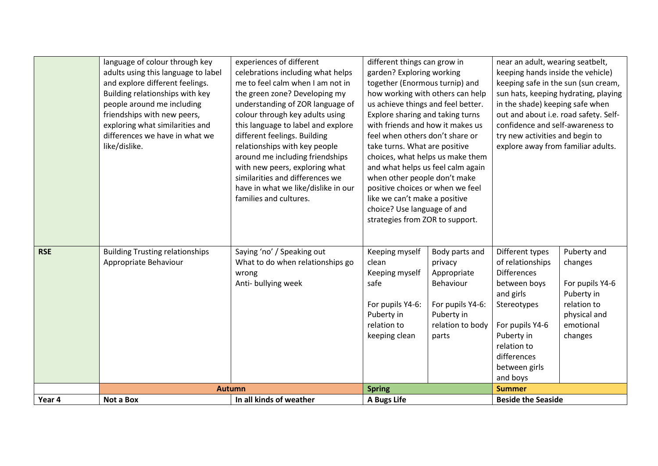|            | language of colour through key         | experiences of different                                          | different things can grow in                                     |                  | near an adult, wearing seatbelt,      |                                      |
|------------|----------------------------------------|-------------------------------------------------------------------|------------------------------------------------------------------|------------------|---------------------------------------|--------------------------------------|
|            | adults using this language to label    | celebrations including what helps                                 | garden? Exploring working                                        |                  | keeping hands inside the vehicle)     |                                      |
|            | and explore different feelings.        | me to feel calm when I am not in                                  | together (Enormous turnip) and                                   |                  | keeping safe in the sun (sun cream,   |                                      |
|            | Building relationships with key        | the green zone? Developing my                                     | how working with others can help                                 |                  |                                       | sun hats, keeping hydrating, playing |
|            | people around me including             | understanding of ZOR language of                                  | us achieve things and feel better.                               |                  | in the shade) keeping safe when       |                                      |
|            | friendships with new peers,            | colour through key adults using                                   | Explore sharing and taking turns                                 |                  | out and about i.e. road safety. Self- |                                      |
|            | exploring what similarities and        | this language to label and explore                                | with friends and how it makes us                                 |                  | confidence and self-awareness to      |                                      |
|            | differences we have in what we         | different feelings. Building                                      | feel when others don't share or                                  |                  | try new activities and begin to       |                                      |
|            | like/dislike.                          | relationships with key people                                     | take turns. What are positive                                    |                  | explore away from familiar adults.    |                                      |
|            |                                        | around me including friendships                                   | choices, what helps us make them                                 |                  |                                       |                                      |
|            |                                        | with new peers, exploring what<br>similarities and differences we | and what helps us feel calm again                                |                  |                                       |                                      |
|            |                                        | have in what we like/dislike in our                               | when other people don't make<br>positive choices or when we feel |                  |                                       |                                      |
|            |                                        | families and cultures.                                            | like we can't make a positive                                    |                  |                                       |                                      |
|            |                                        |                                                                   | choice? Use language of and                                      |                  |                                       |                                      |
|            |                                        |                                                                   | strategies from ZOR to support.                                  |                  |                                       |                                      |
|            |                                        |                                                                   |                                                                  |                  |                                       |                                      |
|            |                                        |                                                                   |                                                                  |                  |                                       |                                      |
| <b>RSE</b> | <b>Building Trusting relationships</b> | Saying 'no' / Speaking out                                        | Keeping myself                                                   | Body parts and   | Different types                       | Puberty and                          |
|            | Appropriate Behaviour                  | What to do when relationships go                                  | clean                                                            | privacy          | of relationships                      | changes                              |
|            |                                        | wrong                                                             | Keeping myself                                                   | Appropriate      | <b>Differences</b>                    |                                      |
|            |                                        | Anti- bullying week                                               | safe                                                             | Behaviour        | between boys                          | For pupils Y4-6                      |
|            |                                        |                                                                   |                                                                  |                  | and girls                             | Puberty in                           |
|            |                                        |                                                                   | For pupils Y4-6:                                                 | For pupils Y4-6: | Stereotypes                           | relation to                          |
|            |                                        |                                                                   | Puberty in                                                       | Puberty in       |                                       | physical and                         |
|            |                                        |                                                                   | relation to                                                      | relation to body | For pupils Y4-6                       | emotional                            |
|            |                                        |                                                                   | keeping clean                                                    | parts            | Puberty in<br>relation to             | changes                              |
|            |                                        |                                                                   |                                                                  |                  | differences                           |                                      |
|            |                                        |                                                                   |                                                                  |                  | between girls                         |                                      |
|            |                                        |                                                                   |                                                                  |                  | and boys                              |                                      |
|            | <b>Autumn</b>                          |                                                                   | <b>Spring</b>                                                    |                  | <b>Summer</b>                         |                                      |
| Year 4     | Not a Box                              | In all kinds of weather                                           | A Bugs Life                                                      |                  | <b>Beside the Seaside</b>             |                                      |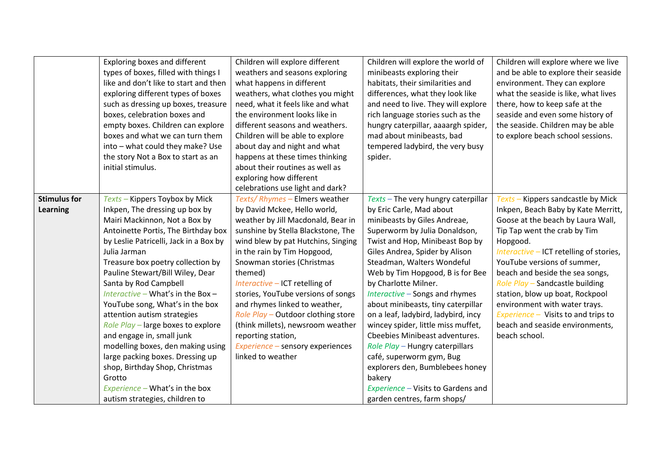|                     | Exploring boxes and different<br>types of boxes, filled with things I<br>like and don't like to start and then<br>exploring different types of boxes<br>such as dressing up boxes, treasure | Children will explore different<br>weathers and seasons exploring<br>what happens in different<br>weathers, what clothes you might<br>need, what it feels like and what | Children will explore the world of<br>minibeasts exploring their<br>habitats, their similarities and<br>differences, what they look like<br>and need to live. They will explore | Children will explore where we live<br>and be able to explore their seaside<br>environment. They can explore<br>what the seaside is like, what lives<br>there, how to keep safe at the |
|---------------------|---------------------------------------------------------------------------------------------------------------------------------------------------------------------------------------------|-------------------------------------------------------------------------------------------------------------------------------------------------------------------------|---------------------------------------------------------------------------------------------------------------------------------------------------------------------------------|----------------------------------------------------------------------------------------------------------------------------------------------------------------------------------------|
|                     | boxes, celebration boxes and<br>empty boxes. Children can explore                                                                                                                           | the environment looks like in<br>different seasons and weathers.                                                                                                        | rich language stories such as the<br>hungry caterpillar, aaaargh spider,                                                                                                        | seaside and even some history of<br>the seaside. Children may be able                                                                                                                  |
|                     | boxes and what we can turn them                                                                                                                                                             | Children will be able to explore                                                                                                                                        | mad about minibeasts, bad                                                                                                                                                       | to explore beach school sessions.                                                                                                                                                      |
|                     | into - what could they make? Use                                                                                                                                                            | about day and night and what                                                                                                                                            | tempered ladybird, the very busy                                                                                                                                                |                                                                                                                                                                                        |
|                     | the story Not a Box to start as an                                                                                                                                                          | happens at these times thinking                                                                                                                                         | spider.                                                                                                                                                                         |                                                                                                                                                                                        |
|                     | initial stimulus.                                                                                                                                                                           | about their routines as well as                                                                                                                                         |                                                                                                                                                                                 |                                                                                                                                                                                        |
|                     |                                                                                                                                                                                             | exploring how different                                                                                                                                                 |                                                                                                                                                                                 |                                                                                                                                                                                        |
|                     |                                                                                                                                                                                             | celebrations use light and dark?                                                                                                                                        |                                                                                                                                                                                 |                                                                                                                                                                                        |
| <b>Stimulus for</b> | Texts - Kippers Toybox by Mick                                                                                                                                                              | Texts/Rhymes - Elmers weather                                                                                                                                           | Texts - The very hungry caterpillar                                                                                                                                             | Texts - Kippers sandcastle by Mick                                                                                                                                                     |
| <b>Learning</b>     | Inkpen, The dressing up box by                                                                                                                                                              | by David Mckee, Hello world,                                                                                                                                            | by Eric Carle, Mad about                                                                                                                                                        | Inkpen, Beach Baby by Kate Merritt,                                                                                                                                                    |
|                     | Mairi Mackinnon, Not a Box by                                                                                                                                                               | weather by Jill Macdonald, Bear in                                                                                                                                      | minibeasts by Giles Andreae,                                                                                                                                                    | Goose at the beach by Laura Wall,                                                                                                                                                      |
|                     | Antoinette Portis, The Birthday box                                                                                                                                                         | sunshine by Stella Blackstone, The                                                                                                                                      | Superworm by Julia Donaldson,                                                                                                                                                   | Tip Tap went the crab by Tim                                                                                                                                                           |
|                     | by Leslie Patricelli, Jack in a Box by                                                                                                                                                      | wind blew by pat Hutchins, Singing                                                                                                                                      | Twist and Hop, Minibeast Bop by                                                                                                                                                 | Hopgood.                                                                                                                                                                               |
|                     | Julia Jarman                                                                                                                                                                                | in the rain by Tim Hopgood,                                                                                                                                             | Giles Andrea, Spider by Alison                                                                                                                                                  | Interactive - ICT retelling of stories,                                                                                                                                                |
|                     | Treasure box poetry collection by                                                                                                                                                           | Snowman stories (Christmas                                                                                                                                              | Steadman, Walters Wondeful                                                                                                                                                      | YouTube versions of summer,                                                                                                                                                            |
|                     | Pauline Stewart/Bill Wiley, Dear                                                                                                                                                            | themed)                                                                                                                                                                 | Web by Tim Hopgood, B is for Bee                                                                                                                                                | beach and beside the sea songs,                                                                                                                                                        |
|                     | Santa by Rod Campbell                                                                                                                                                                       | Interactive - ICT retelling of                                                                                                                                          | by Charlotte Milner.                                                                                                                                                            | Role Play - Sandcastle building                                                                                                                                                        |
|                     | Interactive - What's in the Box -                                                                                                                                                           | stories, YouTube versions of songs                                                                                                                                      | Interactive - Songs and rhymes                                                                                                                                                  | station, blow up boat, Rockpool                                                                                                                                                        |
|                     | YouTube song, What's in the box                                                                                                                                                             | and rhymes linked to weather,                                                                                                                                           | about minibeasts, tiny caterpillar                                                                                                                                              | environment with water trays.                                                                                                                                                          |
|                     | attention autism strategies                                                                                                                                                                 | Role Play - Outdoor clothing store                                                                                                                                      | on a leaf, ladybird, ladybird, incy                                                                                                                                             | Experience - Visits to and trips to                                                                                                                                                    |
|                     | Role Play - large boxes to explore                                                                                                                                                          | (think millets), newsroom weather                                                                                                                                       | wincey spider, little miss muffet,                                                                                                                                              | beach and seaside environments,                                                                                                                                                        |
|                     | and engage in, small junk                                                                                                                                                                   | reporting station,                                                                                                                                                      | Cbeebies Minibeast adventures.                                                                                                                                                  | beach school.                                                                                                                                                                          |
|                     | modelling boxes, den making using                                                                                                                                                           | Experience - sensory experiences                                                                                                                                        | Role Play - Hungry caterpillars                                                                                                                                                 |                                                                                                                                                                                        |
|                     | large packing boxes. Dressing up                                                                                                                                                            | linked to weather                                                                                                                                                       | café, superworm gym, Bug                                                                                                                                                        |                                                                                                                                                                                        |
|                     | shop, Birthday Shop, Christmas                                                                                                                                                              |                                                                                                                                                                         | explorers den, Bumblebees honey                                                                                                                                                 |                                                                                                                                                                                        |
|                     | Grotto                                                                                                                                                                                      |                                                                                                                                                                         | bakery                                                                                                                                                                          |                                                                                                                                                                                        |
|                     | Experience - What's in the box                                                                                                                                                              |                                                                                                                                                                         | Experience - Visits to Gardens and                                                                                                                                              |                                                                                                                                                                                        |
|                     | autism strategies, children to                                                                                                                                                              |                                                                                                                                                                         | garden centres, farm shops/                                                                                                                                                     |                                                                                                                                                                                        |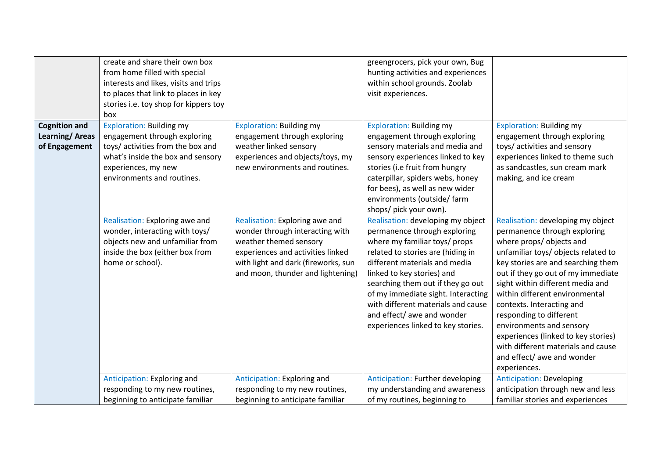|                                                                | create and share their own box<br>from home filled with special<br>interests and likes, visits and trips<br>to places that link to places in key<br>stories i.e. toy shop for kippers toy<br>box |                                                                                                                                                                                                              | greengrocers, pick your own, Bug<br>hunting activities and experiences<br>within school grounds. Zoolab<br>visit experiences.                                                                                                                                                                                                                                                               |                                                                                                                                                                                                                                                                                                                                                                                                                                                                                                       |
|----------------------------------------------------------------|--------------------------------------------------------------------------------------------------------------------------------------------------------------------------------------------------|--------------------------------------------------------------------------------------------------------------------------------------------------------------------------------------------------------------|---------------------------------------------------------------------------------------------------------------------------------------------------------------------------------------------------------------------------------------------------------------------------------------------------------------------------------------------------------------------------------------------|-------------------------------------------------------------------------------------------------------------------------------------------------------------------------------------------------------------------------------------------------------------------------------------------------------------------------------------------------------------------------------------------------------------------------------------------------------------------------------------------------------|
| <b>Cognition and</b><br><b>Learning/Areas</b><br>of Engagement | <b>Exploration: Building my</b><br>engagement through exploring<br>toys/ activities from the box and<br>what's inside the box and sensory<br>experiences, my new<br>environments and routines.   | <b>Exploration: Building my</b><br>engagement through exploring<br>weather linked sensory<br>experiences and objects/toys, my<br>new environments and routines.                                              | <b>Exploration: Building my</b><br>engagement through exploring<br>sensory materials and media and<br>sensory experiences linked to key<br>stories (i.e fruit from hungry<br>caterpillar, spiders webs, honey<br>for bees), as well as new wider<br>environments (outside/ farm<br>shops/ pick your own).                                                                                   | <b>Exploration: Building my</b><br>engagement through exploring<br>toys/ activities and sensory<br>experiences linked to theme such<br>as sandcastles, sun cream mark<br>making, and ice cream                                                                                                                                                                                                                                                                                                        |
|                                                                | Realisation: Exploring awe and<br>wonder, interacting with toys/<br>objects new and unfamiliar from<br>inside the box (either box from<br>home or school).                                       | Realisation: Exploring awe and<br>wonder through interacting with<br>weather themed sensory<br>experiences and activities linked<br>with light and dark (fireworks, sun<br>and moon, thunder and lightening) | Realisation: developing my object<br>permanence through exploring<br>where my familiar toys/ props<br>related to stories are (hiding in<br>different materials and media<br>linked to key stories) and<br>searching them out if they go out<br>of my immediate sight. Interacting<br>with different materials and cause<br>and effect/ awe and wonder<br>experiences linked to key stories. | Realisation: developing my object<br>permanence through exploring<br>where props/ objects and<br>unfamiliar toys/ objects related to<br>key stories are and searching them<br>out if they go out of my immediate<br>sight within different media and<br>within different environmental<br>contexts. Interacting and<br>responding to different<br>environments and sensory<br>experiences (linked to key stories)<br>with different materials and cause<br>and effect/ awe and wonder<br>experiences. |
|                                                                | Anticipation: Exploring and                                                                                                                                                                      | Anticipation: Exploring and                                                                                                                                                                                  | Anticipation: Further developing                                                                                                                                                                                                                                                                                                                                                            | <b>Anticipation: Developing</b>                                                                                                                                                                                                                                                                                                                                                                                                                                                                       |
|                                                                | responding to my new routines,                                                                                                                                                                   | responding to my new routines,                                                                                                                                                                               | my understanding and awareness                                                                                                                                                                                                                                                                                                                                                              | anticipation through new and less                                                                                                                                                                                                                                                                                                                                                                                                                                                                     |
|                                                                | beginning to anticipate familiar                                                                                                                                                                 | beginning to anticipate familiar                                                                                                                                                                             | of my routines, beginning to                                                                                                                                                                                                                                                                                                                                                                | familiar stories and experiences                                                                                                                                                                                                                                                                                                                                                                                                                                                                      |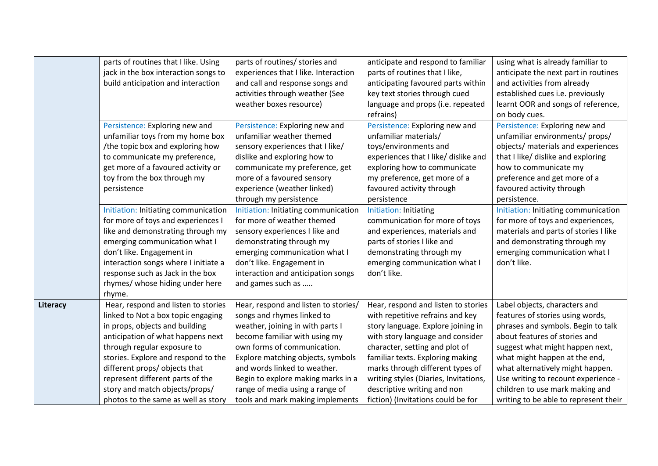|          | parts of routines that I like. Using | parts of routines/ stories and       | anticipate and respond to familiar    | using what is already familiar to     |
|----------|--------------------------------------|--------------------------------------|---------------------------------------|---------------------------------------|
|          |                                      |                                      |                                       |                                       |
|          | jack in the box interaction songs to | experiences that I like. Interaction | parts of routines that I like,        | anticipate the next part in routines  |
|          | build anticipation and interaction   | and call and response songs and      | anticipating favoured parts within    | and activities from already           |
|          |                                      | activities through weather (See      | key text stories through cued         | established cues i.e. previously      |
|          |                                      | weather boxes resource)              | language and props (i.e. repeated     | learnt OOR and songs of reference,    |
|          |                                      |                                      | refrains)                             | on body cues.                         |
|          | Persistence: Exploring new and       | Persistence: Exploring new and       | Persistence: Exploring new and        | Persistence: Exploring new and        |
|          | unfamiliar toys from my home box     | unfamiliar weather themed            | unfamiliar materials/                 | unfamiliar environments/ props/       |
|          | /the topic box and exploring how     | sensory experiences that I like/     | toys/environments and                 | objects/ materials and experiences    |
|          | to communicate my preference,        | dislike and exploring how to         | experiences that I like/ dislike and  | that I like/ dislike and exploring    |
|          | get more of a favoured activity or   | communicate my preference, get       | exploring how to communicate          | how to communicate my                 |
|          | toy from the box through my          | more of a favoured sensory           | my preference, get more of a          | preference and get more of a          |
|          | persistence                          | experience (weather linked)          | favoured activity through             | favoured activity through             |
|          |                                      | through my persistence               | persistence                           | persistence.                          |
|          | Initiation: Initiating communication | Initiation: Initiating communication | Initiation: Initiating                | Initiation: Initiating communication  |
|          | for more of toys and experiences I   | for more of weather themed           | communication for more of toys        | for more of toys and experiences,     |
|          | like and demonstrating through my    | sensory experiences I like and       | and experiences, materials and        | materials and parts of stories I like |
|          |                                      |                                      |                                       |                                       |
|          | emerging communication what I        | demonstrating through my             | parts of stories I like and           | and demonstrating through my          |
|          | don't like. Engagement in            | emerging communication what I        | demonstrating through my              | emerging communication what I         |
|          | interaction songs where I initiate a | don't like. Engagement in            | emerging communication what I         | don't like.                           |
|          | response such as Jack in the box     | interaction and anticipation songs   | don't like.                           |                                       |
|          | rhymes/ whose hiding under here      | and games such as                    |                                       |                                       |
|          | rhyme.                               |                                      |                                       |                                       |
| Literacy | Hear, respond and listen to stories  | Hear, respond and listen to stories/ | Hear, respond and listen to stories   | Label objects, characters and         |
|          | linked to Not a box topic engaging   | songs and rhymes linked to           | with repetitive refrains and key      | features of stories using words,      |
|          | in props, objects and building       | weather, joining in with parts I     | story language. Explore joining in    | phrases and symbols. Begin to talk    |
|          | anticipation of what happens next    | become familiar with using my        | with story language and consider      | about features of stories and         |
|          | through regular exposure to          | own forms of communication.          | character, setting and plot of        | suggest what might happen next,       |
|          | stories. Explore and respond to the  | Explore matching objects, symbols    | familiar texts. Exploring making      | what might happen at the end,         |
|          | different props/ objects that        | and words linked to weather.         | marks through different types of      | what alternatively might happen.      |
|          | represent different parts of the     | Begin to explore making marks in a   | writing styles (Diaries, Invitations, | Use writing to recount experience -   |
|          | story and match objects/props/       | range of media using a range of      | descriptive writing and non           | children to use mark making and       |
|          | photos to the same as well as story  | tools and mark making implements     | fiction) (Invitations could be for    | writing to be able to represent their |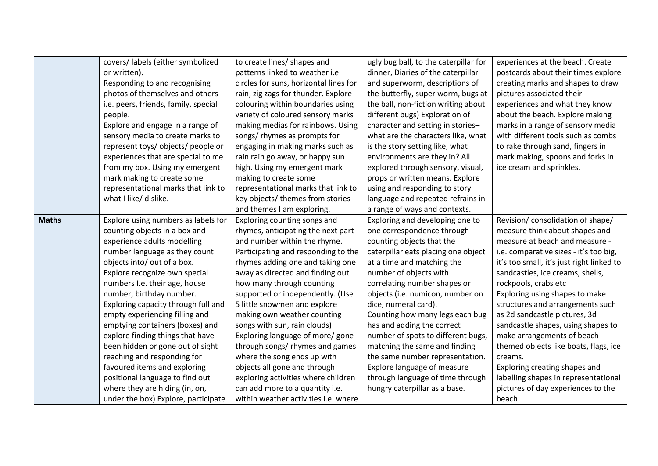|              | covers/ labels (either symbolized    | to create lines/ shapes and            | ugly bug ball, to the caterpillar for | experiences at the beach. Create          |
|--------------|--------------------------------------|----------------------------------------|---------------------------------------|-------------------------------------------|
|              | or written).                         | patterns linked to weather i.e         | dinner, Diaries of the caterpillar    | postcards about their times explore       |
|              | Responding to and recognising        | circles for suns, horizontal lines for | and superworm, descriptions of        | creating marks and shapes to draw         |
|              | photos of themselves and others      | rain, zig zags for thunder. Explore    | the butterfly, super worm, bugs at    | pictures associated their                 |
|              | i.e. peers, friends, family, special | colouring within boundaries using      | the ball, non-fiction writing about   | experiences and what they know            |
|              | people.                              | variety of coloured sensory marks      | different bugs) Exploration of        | about the beach. Explore making           |
|              | Explore and engage in a range of     | making medias for rainbows. Using      | character and setting in stories-     | marks in a range of sensory media         |
|              | sensory media to create marks to     | songs/ rhymes as prompts for           | what are the characters like, what    | with different tools such as combs        |
|              | represent toys/ objects/ people or   | engaging in making marks such as       | is the story setting like, what       | to rake through sand, fingers in          |
|              | experiences that are special to me   | rain rain go away, or happy sun        | environments are they in? All         | mark making, spoons and forks in          |
|              | from my box. Using my emergent       | high. Using my emergent mark           | explored through sensory, visual,     | ice cream and sprinkles.                  |
|              | mark making to create some           | making to create some                  | props or written means. Explore       |                                           |
|              | representational marks that link to  | representational marks that link to    | using and responding to story         |                                           |
|              | what I like/ dislike.                | key objects/ themes from stories       | language and repeated refrains in     |                                           |
|              |                                      | and themes I am exploring.             | a range of ways and contexts.         |                                           |
| <b>Maths</b> | Explore using numbers as labels for  | Exploring counting songs and           | Exploring and developing one to       | Revision/ consolidation of shape/         |
|              | counting objects in a box and        | rhymes, anticipating the next part     | one correspondence through            | measure think about shapes and            |
|              | experience adults modelling          | and number within the rhyme.           | counting objects that the             | measure at beach and measure -            |
|              | number language as they count        | Participating and responding to the    | caterpillar eats placing one object   | i.e. comparative sizes - it's too big,    |
|              | objects into/ out of a box.          | rhymes adding one and taking one       | at a time and matching the            | it's too small, it's just right linked to |
|              | Explore recognize own special        | away as directed and finding out       | number of objects with                | sandcastles, ice creams, shells,          |
|              | numbers I.e. their age, house        | how many through counting              | correlating number shapes or          | rockpools, crabs etc                      |
|              | number, birthday number.             | supported or independently. (Use       | objects (i.e. numicon, number on      | Exploring using shapes to make            |
|              | Exploring capacity through full and  | 5 little snowmen and explore           | dice, numeral card).                  | structures and arrangements such          |
|              | empty experiencing filling and       | making own weather counting            | Counting how many legs each bug       | as 2d sandcastle pictures, 3d             |
|              | emptying containers (boxes) and      | songs with sun, rain clouds)           | has and adding the correct            | sandcastle shapes, using shapes to        |
|              | explore finding things that have     | Exploring language of more/ gone       | number of spots to different bugs,    | make arrangements of beach                |
|              | been hidden or gone out of sight     | through songs/ rhymes and games        | matching the same and finding         | themed objects like boats, flags, ice     |
|              | reaching and responding for          | where the song ends up with            | the same number representation.       | creams.                                   |
|              | favoured items and exploring         | objects all gone and through           | Explore language of measure           | Exploring creating shapes and             |
|              | positional language to find out      | exploring activities where children    | through language of time through      | labelling shapes in representational      |
|              | where they are hiding (in, on,       | can add more to a quantity i.e.        | hungry caterpillar as a base.         | pictures of day experiences to the        |
|              | under the box) Explore, participate  | within weather activities i.e. where   |                                       | beach.                                    |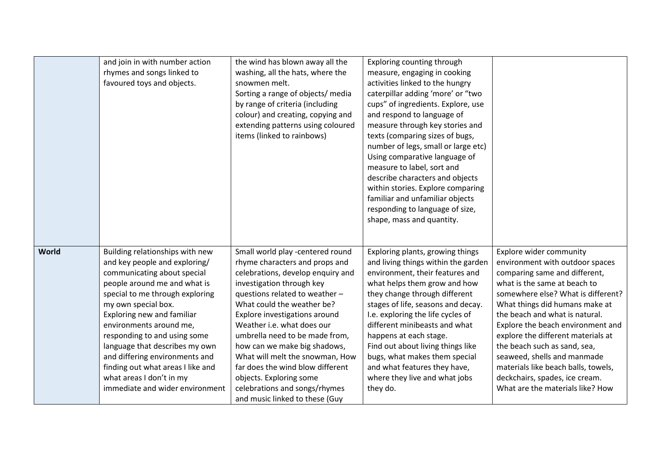|       | and join in with number action<br>rhymes and songs linked to<br>favoured toys and objects.                                                                                                                                                                                                                                                                                                                                                                 | the wind has blown away all the<br>washing, all the hats, where the<br>snowmen melt.<br>Sorting a range of objects/ media<br>by range of criteria (including<br>colour) and creating, copying and<br>extending patterns using coloured<br>items (linked to rainbows)                                                                                                                                                                                                                                       | Exploring counting through<br>measure, engaging in cooking<br>activities linked to the hungry<br>caterpillar adding 'more' or "two<br>cups" of ingredients. Explore, use<br>and respond to language of<br>measure through key stories and<br>texts (comparing sizes of bugs,<br>number of legs, small or large etc)<br>Using comparative language of<br>measure to label, sort and<br>describe characters and objects<br>within stories. Explore comparing<br>familiar and unfamiliar objects<br>responding to language of size,<br>shape, mass and quantity. |                                                                                                                                                                                                                                                                                                                                                                                                                                                                                              |
|-------|------------------------------------------------------------------------------------------------------------------------------------------------------------------------------------------------------------------------------------------------------------------------------------------------------------------------------------------------------------------------------------------------------------------------------------------------------------|------------------------------------------------------------------------------------------------------------------------------------------------------------------------------------------------------------------------------------------------------------------------------------------------------------------------------------------------------------------------------------------------------------------------------------------------------------------------------------------------------------|---------------------------------------------------------------------------------------------------------------------------------------------------------------------------------------------------------------------------------------------------------------------------------------------------------------------------------------------------------------------------------------------------------------------------------------------------------------------------------------------------------------------------------------------------------------|----------------------------------------------------------------------------------------------------------------------------------------------------------------------------------------------------------------------------------------------------------------------------------------------------------------------------------------------------------------------------------------------------------------------------------------------------------------------------------------------|
| World | Building relationships with new<br>and key people and exploring/<br>communicating about special<br>people around me and what is<br>special to me through exploring<br>my own special box.<br>Exploring new and familiar<br>environments around me,<br>responding to and using some<br>language that describes my own<br>and differing environments and<br>finding out what areas I like and<br>what areas I don't in my<br>immediate and wider environment | Small world play -centered round<br>rhyme characters and props and<br>celebrations, develop enquiry and<br>investigation through key<br>questions related to weather -<br>What could the weather be?<br>Explore investigations around<br>Weather i.e. what does our<br>umbrella need to be made from,<br>how can we make big shadows,<br>What will melt the snowman, How<br>far does the wind blow different<br>objects. Exploring some<br>celebrations and songs/rhymes<br>and music linked to these (Guy | Exploring plants, growing things<br>and living things within the garden<br>environment, their features and<br>what helps them grow and how<br>they change through different<br>stages of life, seasons and decay.<br>I.e. exploring the life cycles of<br>different minibeasts and what<br>happens at each stage.<br>Find out about living things like<br>bugs, what makes them special<br>and what features they have,<br>where they live and what jobs<br>they do.                                                                                          | Explore wider community<br>environment with outdoor spaces<br>comparing same and different,<br>what is the same at beach to<br>somewhere else? What is different?<br>What things did humans make at<br>the beach and what is natural.<br>Explore the beach environment and<br>explore the different materials at<br>the beach such as sand, sea,<br>seaweed, shells and manmade<br>materials like beach balls, towels,<br>deckchairs, spades, ice cream.<br>What are the materials like? How |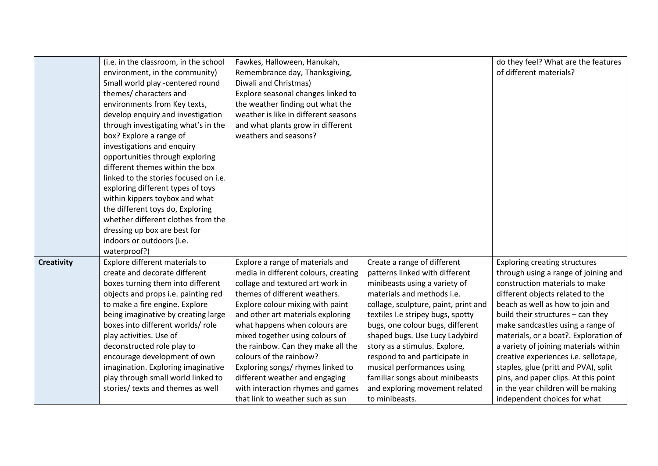|                   | (i.e. in the classroom, in the school | Fawkes, Halloween, Hanukah,          |                                      | do they feel? What are the features   |
|-------------------|---------------------------------------|--------------------------------------|--------------------------------------|---------------------------------------|
|                   | environment, in the community)        | Remembrance day, Thanksgiving,       |                                      | of different materials?               |
|                   | Small world play -centered round      | Diwali and Christmas)                |                                      |                                       |
|                   | themes/ characters and                | Explore seasonal changes linked to   |                                      |                                       |
|                   | environments from Key texts,          | the weather finding out what the     |                                      |                                       |
|                   | develop enquiry and investigation     | weather is like in different seasons |                                      |                                       |
|                   | through investigating what's in the   | and what plants grow in different    |                                      |                                       |
|                   | box? Explore a range of               | weathers and seasons?                |                                      |                                       |
|                   | investigations and enquiry            |                                      |                                      |                                       |
|                   | opportunities through exploring       |                                      |                                      |                                       |
|                   | different themes within the box       |                                      |                                      |                                       |
|                   | linked to the stories focused on i.e. |                                      |                                      |                                       |
|                   | exploring different types of toys     |                                      |                                      |                                       |
|                   | within kippers toybox and what        |                                      |                                      |                                       |
|                   | the different toys do, Exploring      |                                      |                                      |                                       |
|                   | whether different clothes from the    |                                      |                                      |                                       |
|                   | dressing up box are best for          |                                      |                                      |                                       |
|                   | indoors or outdoors (i.e.             |                                      |                                      |                                       |
|                   | waterproof?)                          |                                      |                                      |                                       |
| <b>Creativity</b> | Explore different materials to        | Explore a range of materials and     | Create a range of different          | <b>Exploring creating structures</b>  |
|                   | create and decorate different         | media in different colours, creating | patterns linked with different       | through using a range of joining and  |
|                   | boxes turning them into different     | collage and textured art work in     | minibeasts using a variety of        | construction materials to make        |
|                   | objects and props i.e. painting red   | themes of different weathers.        | materials and methods i.e.           | different objects related to the      |
|                   | to make a fire engine. Explore        | Explore colour mixing with paint     | collage, sculpture, paint, print and | beach as well as how to join and      |
|                   | being imaginative by creating large   | and other art materials exploring    | textiles I.e stripey bugs, spotty    | build their structures - can they     |
|                   | boxes into different worlds/ role     | what happens when colours are        | bugs, one colour bugs, different     | make sandcastles using a range of     |
|                   | play activities. Use of               | mixed together using colours of      | shaped bugs. Use Lucy Ladybird       | materials, or a boat?. Exploration of |
|                   | deconstructed role play to            | the rainbow. Can they make all the   | story as a stimulus. Explore,        | a variety of joining materials within |
|                   | encourage development of own          | colours of the rainbow?              | respond to and participate in        | creative experiences i.e. sellotape,  |
|                   | imagination. Exploring imaginative    | Exploring songs/ rhymes linked to    | musical performances using           | staples, glue (pritt and PVA), split  |
|                   | play through small world linked to    | different weather and engaging       | familiar songs about minibeasts      | pins, and paper clips. At this point  |
|                   | stories/ texts and themes as well     | with interaction rhymes and games    | and exploring movement related       | in the year children will be making   |
|                   |                                       | that link to weather such as sun     | to minibeasts.                       | independent choices for what          |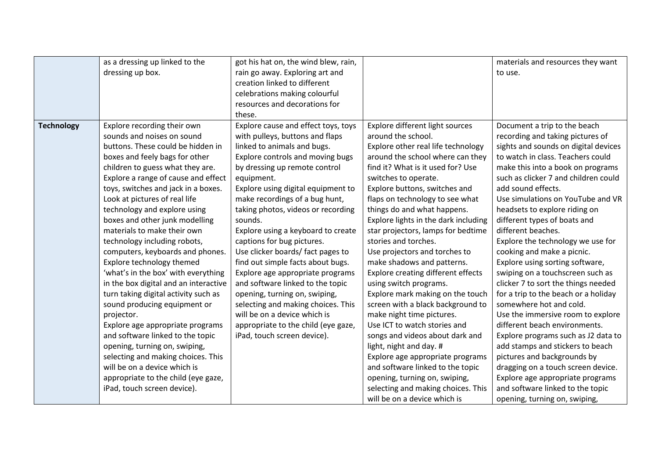|                   | as a dressing up linked to the        | got his hat on, the wind blew, rain, |                                           | materials and resources they want    |  |
|-------------------|---------------------------------------|--------------------------------------|-------------------------------------------|--------------------------------------|--|
|                   | dressing up box.                      | rain go away. Exploring art and      |                                           | to use.                              |  |
|                   |                                       | creation linked to different         |                                           |                                      |  |
|                   |                                       | celebrations making colourful        |                                           |                                      |  |
|                   |                                       | resources and decorations for        |                                           |                                      |  |
|                   |                                       | these.                               |                                           |                                      |  |
| <b>Technology</b> | Explore recording their own           | Explore cause and effect toys, toys  | Explore different light sources           | Document a trip to the beach         |  |
|                   | sounds and noises on sound            | with pulleys, buttons and flaps      | around the school.                        | recording and taking pictures of     |  |
|                   | buttons. These could be hidden in     | linked to animals and bugs.          | Explore other real life technology        | sights and sounds on digital devices |  |
|                   | boxes and feely bags for other        | Explore controls and moving bugs     | around the school where can they          | to watch in class. Teachers could    |  |
|                   | children to guess what they are.      | by dressing up remote control        | find it? What is it used for? Use         | make this into a book on programs    |  |
|                   | Explore a range of cause and effect   | equipment.                           | switches to operate.                      | such as clicker 7 and children could |  |
|                   | toys, switches and jack in a boxes.   | Explore using digital equipment to   | Explore buttons, switches and             | add sound effects.                   |  |
|                   | Look at pictures of real life         | make recordings of a bug hunt,       | flaps on technology to see what           | Use simulations on YouTube and VR    |  |
|                   | technology and explore using          | taking photos, videos or recording   | things do and what happens.               | headsets to explore riding on        |  |
|                   | boxes and other junk modelling        | sounds.                              | Explore lights in the dark including      | different types of boats and         |  |
|                   | materials to make their own           | Explore using a keyboard to create   | star projectors, lamps for bedtime        | different beaches.                   |  |
|                   | technology including robots,          | captions for bug pictures.           | stories and torches.                      | Explore the technology we use for    |  |
|                   | computers, keyboards and phones.      | Use clicker boards/ fact pages to    | Use projectors and torches to             | cooking and make a picnic.           |  |
|                   | Explore technology themed             | find out simple facts about bugs.    | make shadows and patterns.                | Explore using sorting software,      |  |
|                   | 'what's in the box' with everything   | Explore age appropriate programs     | <b>Explore creating different effects</b> | swiping on a touchscreen such as     |  |
|                   | in the box digital and an interactive | and software linked to the topic     | using switch programs.                    | clicker 7 to sort the things needed  |  |
|                   | turn taking digital activity such as  | opening, turning on, swiping,        | Explore mark making on the touch          | for a trip to the beach or a holiday |  |
|                   | sound producing equipment or          | selecting and making choices. This   | screen with a black background to         | somewhere hot and cold.              |  |
|                   | projector.                            | will be on a device which is         | make night time pictures.                 | Use the immersive room to explore    |  |
|                   | Explore age appropriate programs      | appropriate to the child (eye gaze,  | Use ICT to watch stories and              | different beach environments.        |  |
|                   | and software linked to the topic      | iPad, touch screen device).          | songs and videos about dark and           | Explore programs such as J2 data to  |  |
|                   | opening, turning on, swiping,         |                                      | light, night and day. #                   | add stamps and stickers to beach     |  |
|                   | selecting and making choices. This    |                                      | Explore age appropriate programs          | pictures and backgrounds by          |  |
|                   | will be on a device which is          |                                      | and software linked to the topic          | dragging on a touch screen device.   |  |
|                   | appropriate to the child (eye gaze,   |                                      | opening, turning on, swiping,             | Explore age appropriate programs     |  |
|                   | iPad, touch screen device).           |                                      | selecting and making choices. This        | and software linked to the topic     |  |
|                   |                                       |                                      | will be on a device which is              | opening, turning on, swiping,        |  |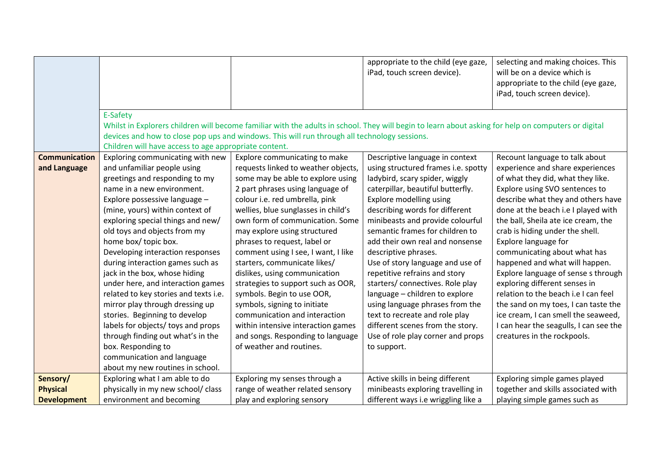|                      |                                                       |                                                                                                                                                     | appropriate to the child (eye gaze,                                | selecting and making choices. This     |  |  |
|----------------------|-------------------------------------------------------|-----------------------------------------------------------------------------------------------------------------------------------------------------|--------------------------------------------------------------------|----------------------------------------|--|--|
|                      |                                                       |                                                                                                                                                     | iPad, touch screen device).                                        | will be on a device which is           |  |  |
|                      |                                                       |                                                                                                                                                     |                                                                    | appropriate to the child (eye gaze,    |  |  |
|                      |                                                       |                                                                                                                                                     |                                                                    | iPad, touch screen device).            |  |  |
|                      |                                                       |                                                                                                                                                     |                                                                    |                                        |  |  |
|                      | E-Safety                                              |                                                                                                                                                     |                                                                    |                                        |  |  |
|                      |                                                       | Whilst in Explorers children will become familiar with the adults in school. They will begin to learn about asking for help on computers or digital |                                                                    |                                        |  |  |
|                      |                                                       | devices and how to close pop ups and windows. This will run through all technology sessions.                                                        |                                                                    |                                        |  |  |
|                      | Children will have access to age appropriate content. |                                                                                                                                                     |                                                                    |                                        |  |  |
| <b>Communication</b> | Exploring communicating with new                      | Explore communicating to make                                                                                                                       | Recount language to talk about<br>Descriptive language in context  |                                        |  |  |
| and Language         | and unfamiliar people using                           | requests linked to weather objects,                                                                                                                 | using structured frames i.e. spotty                                | experience and share experiences       |  |  |
|                      | greetings and responding to my                        | some may be able to explore using                                                                                                                   | ladybird, scary spider, wiggly                                     | of what they did, what they like.      |  |  |
|                      | name in a new environment.                            | 2 part phrases using language of                                                                                                                    | caterpillar, beautiful butterfly.                                  | Explore using SVO sentences to         |  |  |
|                      | Explore possessive language -                         | colour i.e. red umbrella, pink                                                                                                                      | Explore modelling using                                            | describe what they and others have     |  |  |
|                      | (mine, yours) within context of                       | wellies, blue sunglasses in child's                                                                                                                 | describing words for different                                     | done at the beach i.e I played with    |  |  |
|                      | exploring special things and new/                     | own form of communication. Some                                                                                                                     | minibeasts and provide colourful                                   | the ball, Sheila ate ice cream, the    |  |  |
|                      | old toys and objects from my                          | may explore using structured                                                                                                                        | semantic frames for children to                                    | crab is hiding under the shell.        |  |  |
|                      | home box/ topic box.                                  | phrases to request, label or                                                                                                                        | add their own real and nonsense                                    | <b>Explore language for</b>            |  |  |
|                      | Developing interaction responses                      | comment using I see, I want, I like                                                                                                                 | descriptive phrases.<br>communicating about what has               |                                        |  |  |
|                      | during interaction games such as                      | starters, communicate likes/                                                                                                                        | Use of story language and use of<br>happened and what will happen. |                                        |  |  |
|                      | jack in the box, whose hiding                         | dislikes, using communication                                                                                                                       | repetitive refrains and story                                      | Explore language of sense s through    |  |  |
|                      | under here, and interaction games                     | strategies to support such as OOR,                                                                                                                  | starters/ connectives. Role play                                   | exploring different senses in          |  |  |
|                      | related to key stories and texts i.e.                 | symbols. Begin to use OOR,                                                                                                                          | language - children to explore                                     | relation to the beach i.e I can feel   |  |  |
|                      | mirror play through dressing up                       | symbols, signing to initiate                                                                                                                        | using language phrases from the                                    | the sand on my toes, I can taste the   |  |  |
|                      | stories. Beginning to develop                         | communication and interaction                                                                                                                       | text to recreate and role play                                     | ice cream, I can smell the seaweed,    |  |  |
|                      | labels for objects/ toys and props                    | within intensive interaction games                                                                                                                  | different scenes from the story.                                   | I can hear the seagulls, I can see the |  |  |
|                      | through finding out what's in the                     | and songs. Responding to language                                                                                                                   | Use of role play corner and props                                  | creatures in the rockpools.            |  |  |
|                      | box. Responding to                                    | of weather and routines.                                                                                                                            | to support.                                                        |                                        |  |  |
|                      | communication and language                            |                                                                                                                                                     |                                                                    |                                        |  |  |
|                      | about my new routines in school.                      |                                                                                                                                                     |                                                                    |                                        |  |  |
| Sensory/             | Exploring what I am able to do                        | Exploring my senses through a                                                                                                                       | Active skills in being different                                   | Exploring simple games played          |  |  |
| <b>Physical</b>      | physically in my new school/ class                    | range of weather related sensory                                                                                                                    | minibeasts exploring travelling in                                 | together and skills associated with    |  |  |
| <b>Development</b>   | environment and becoming                              | play and exploring sensory                                                                                                                          | different ways i.e wriggling like a                                | playing simple games such as           |  |  |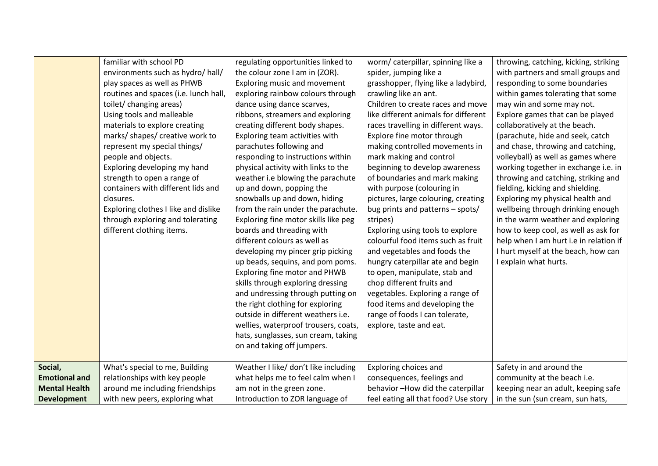|                      | familiar with school PD<br>environments such as hydro/ hall/ | regulating opportunities linked to<br>the colour zone I am in (ZOR). | worm/caterpillar, spinning like a<br>spider, jumping like a              | throwing, catching, kicking, striking<br>with partners and small groups and |  |
|----------------------|--------------------------------------------------------------|----------------------------------------------------------------------|--------------------------------------------------------------------------|-----------------------------------------------------------------------------|--|
|                      | play spaces as well as PHWB                                  | Exploring music and movement                                         | grasshopper, flying like a ladybird,                                     | responding to some boundaries                                               |  |
|                      | routines and spaces (i.e. lunch hall,                        | exploring rainbow colours through                                    | crawling like an ant.                                                    | within games tolerating that some                                           |  |
|                      | toilet/ changing areas)                                      | dance using dance scarves,                                           | Children to create races and move                                        | may win and some may not.                                                   |  |
|                      | Using tools and malleable                                    | ribbons, streamers and exploring                                     | like different animals for different                                     | Explore games that can be played                                            |  |
|                      | materials to explore creating                                | creating different body shapes.                                      | races travelling in different ways.                                      | collaboratively at the beach.                                               |  |
|                      | marks/ shapes/ creative work to                              | Exploring team activities with                                       | Explore fine motor through                                               | (parachute, hide and seek, catch                                            |  |
|                      | represent my special things/                                 | parachutes following and                                             | making controlled movements in                                           | and chase, throwing and catching,                                           |  |
|                      | people and objects.                                          | responding to instructions within                                    | mark making and control                                                  | volleyball) as well as games where                                          |  |
|                      | Exploring developing my hand                                 | physical activity with links to the                                  | beginning to develop awareness                                           | working together in exchange i.e. in                                        |  |
|                      | strength to open a range of                                  | weather i.e blowing the parachute                                    | of boundaries and mark making                                            | throwing and catching, striking and                                         |  |
|                      | containers with different lids and                           | up and down, popping the                                             | with purpose (colouring in                                               | fielding, kicking and shielding.                                            |  |
|                      | closures.                                                    | snowballs up and down, hiding                                        | pictures, large colouring, creating                                      | Exploring my physical health and                                            |  |
|                      | Exploring clothes I like and dislike                         | from the rain under the parachute.                                   | bug prints and patterns - spots/                                         | wellbeing through drinking enough                                           |  |
|                      | through exploring and tolerating                             | Exploring fine motor skills like peg                                 | stripes)                                                                 | in the warm weather and exploring                                           |  |
|                      | different clothing items.                                    | boards and threading with                                            | Exploring using tools to explore                                         | how to keep cool, as well as ask for                                        |  |
|                      |                                                              | different colours as well as                                         | colourful food items such as fruit                                       | help when I am hurt i.e in relation if                                      |  |
|                      |                                                              | developing my pincer grip picking                                    | and vegetables and foods the                                             | I hurt myself at the beach, how can                                         |  |
|                      |                                                              | up beads, sequins, and pom poms.                                     | hungry caterpillar ate and begin                                         | I explain what hurts.                                                       |  |
|                      |                                                              | Exploring fine motor and PHWB                                        | to open, manipulate, stab and                                            |                                                                             |  |
|                      |                                                              | skills through exploring dressing                                    | chop different fruits and                                                |                                                                             |  |
|                      |                                                              | and undressing through putting on                                    | vegetables. Exploring a range of                                         |                                                                             |  |
|                      |                                                              | the right clothing for exploring                                     | food items and developing the                                            |                                                                             |  |
|                      |                                                              | outside in different weathers i.e.                                   | range of foods I can tolerate,                                           |                                                                             |  |
|                      |                                                              | wellies, waterproof trousers, coats,                                 | explore, taste and eat.                                                  |                                                                             |  |
|                      |                                                              | hats, sunglasses, sun cream, taking                                  |                                                                          |                                                                             |  |
|                      |                                                              | on and taking off jumpers.                                           |                                                                          |                                                                             |  |
|                      |                                                              |                                                                      |                                                                          |                                                                             |  |
| Social,              | What's special to me, Building                               | Weather I like/ don't like including                                 | Exploring choices and                                                    | Safety in and around the                                                    |  |
| <b>Emotional and</b> | relationships with key people                                | what helps me to feel calm when I                                    | consequences, feelings and                                               | community at the beach i.e.                                                 |  |
| <b>Mental Health</b> | around me including friendships                              | am not in the green zone.                                            | behavior-How did the caterpillar                                         | keeping near an adult, keeping safe                                         |  |
| <b>Development</b>   | with new peers, exploring what                               | Introduction to ZOR language of                                      | feel eating all that food? Use story<br>in the sun (sun cream, sun hats, |                                                                             |  |